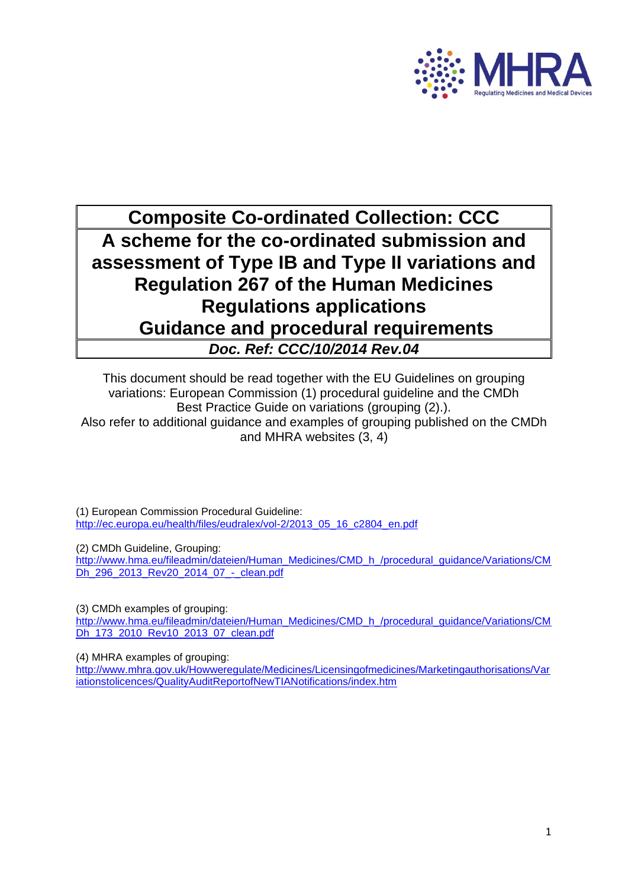

**Composite Co-ordinated Collection: CCC A scheme for the co-ordinated submission and assessment of Type IB and Type II variations and Regulation 267 of the Human Medicines Regulations applications Guidance and procedural requirements** *Doc. Ref: CCC/10/2014 Rev.04*

This document should be read together with the EU Guidelines on grouping variations: European Commission (1) procedural guideline and the CMDh Best Practice Guide on variations (grouping (2).). Also refer to additional guidance and examples of grouping published on the CMDh and MHRA websites (3, 4)

(1) European Commission Procedural Guideline: [http://ec.europa.eu/health/files/eudralex/vol-2/2013\\_05\\_16\\_c2804\\_en.pdf](http://ec.europa.eu/health/files/eudralex/vol-2/2013_05_16_c2804_en.pdf)

(2) CMDh Guideline, Grouping:

[http://www.hma.eu/fileadmin/dateien/Human\\_Medicines/CMD\\_h\\_/procedural\\_guidance/Variations/CM](http://www.hma.eu/fileadmin/dateien/Human_Medicines/CMD_h_/procedural_guidance/Variations/CMDh_296_2013_Rev20_2014_07_-_clean.pdf) [Dh\\_296\\_2013\\_Rev20\\_2014\\_07\\_-\\_clean.pdf](http://www.hma.eu/fileadmin/dateien/Human_Medicines/CMD_h_/procedural_guidance/Variations/CMDh_296_2013_Rev20_2014_07_-_clean.pdf)

(3) CMDh examples of grouping:

[http://www.hma.eu/fileadmin/dateien/Human\\_Medicines/CMD\\_h\\_/procedural\\_guidance/Variations/CM](http://www.hma.eu/fileadmin/dateien/Human_Medicines/CMD_h_/procedural_guidance/Variations/CMDh_173_2010_Rev10_2013_07_clean.pdf) [Dh\\_173\\_2010\\_Rev10\\_2013\\_07\\_clean.pdf](http://www.hma.eu/fileadmin/dateien/Human_Medicines/CMD_h_/procedural_guidance/Variations/CMDh_173_2010_Rev10_2013_07_clean.pdf)

(4) MHRA examples of grouping:

[http://www.mhra.gov.uk/Howweregulate/Medicines/Licensingofmedicines/Marketingauthorisations/Var](http://www.mhra.gov.uk/Howweregulate/Medicines/Licensingofmedicines/Marketingauthorisations/Variationstolicences/QualityAuditReportofNewTIANotifications/index.htm) [iationstolicences/QualityAuditReportofNewTIANotifications/index.htm](http://www.mhra.gov.uk/Howweregulate/Medicines/Licensingofmedicines/Marketingauthorisations/Variationstolicences/QualityAuditReportofNewTIANotifications/index.htm)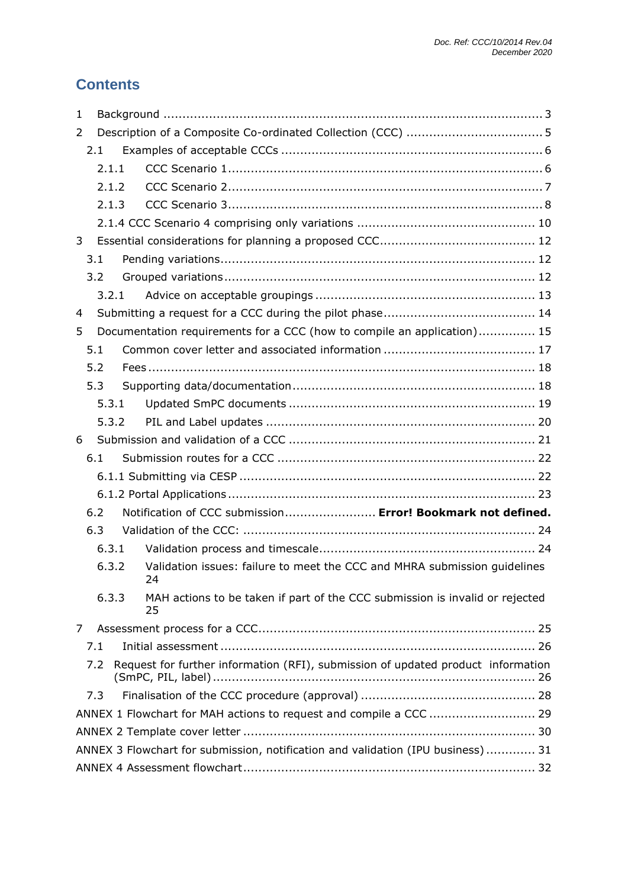# **Contents**

| $\mathbf{1}$ |       |       |                                                                                    |
|--------------|-------|-------|------------------------------------------------------------------------------------|
| 2            |       |       |                                                                                    |
|              | 2.1   |       |                                                                                    |
|              | 2.1.1 |       |                                                                                    |
|              |       | 2.1.2 |                                                                                    |
|              | 2.1.3 |       |                                                                                    |
|              |       |       |                                                                                    |
| 3            |       |       |                                                                                    |
|              | 3.1   |       |                                                                                    |
|              | 3.2   |       |                                                                                    |
|              |       | 3.2.1 |                                                                                    |
| 4            |       |       |                                                                                    |
| 5            |       |       | Documentation requirements for a CCC (how to compile an application) 15            |
|              | 5.1   |       |                                                                                    |
|              | 5.2   |       |                                                                                    |
|              | 5.3   |       |                                                                                    |
|              |       | 5.3.1 |                                                                                    |
|              |       | 5.3.2 |                                                                                    |
| 6            |       |       |                                                                                    |
|              | 6.1   |       |                                                                                    |
|              |       |       |                                                                                    |
|              |       |       |                                                                                    |
|              | 6.2   |       | Notification of CCC submission Error! Bookmark not defined.                        |
|              | 6.3   |       |                                                                                    |
|              | 6.3.1 |       |                                                                                    |
|              | 6.3.2 |       | Validation issues: failure to meet the CCC and MHRA submission guidelines<br>24    |
|              | 6.3.3 |       | MAH actions to be taken if part of the CCC submission is invalid or rejected<br>25 |
| 7            |       |       |                                                                                    |
|              | 7.1   |       |                                                                                    |
|              | 7.2   |       | Request for further information (RFI), submission of updated product information   |
|              | 7.3   |       |                                                                                    |
|              |       |       |                                                                                    |
|              |       |       |                                                                                    |
|              |       |       | ANNEX 3 Flowchart for submission, notification and validation (IPU business) 31    |
|              |       |       |                                                                                    |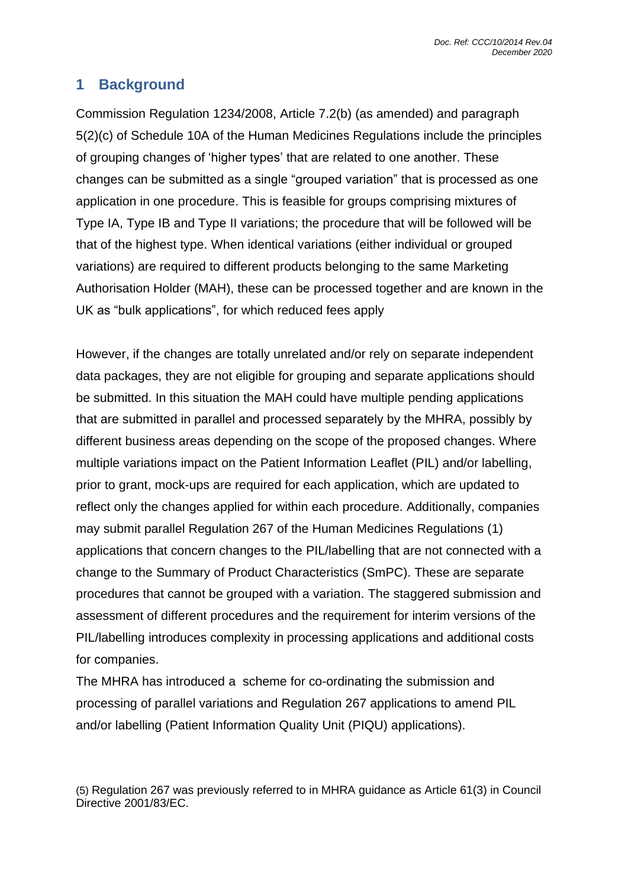# <span id="page-2-0"></span>**1 Background**

Commission Regulation 1234/2008, Article 7.2(b) (as amended) and paragraph 5(2)(c) of Schedule 10A of the Human Medicines Regulations include the principles of grouping changes of 'higher types' that are related to one another. These changes can be submitted as a single "grouped variation" that is processed as one application in one procedure. This is feasible for groups comprising mixtures of Type IA, Type IB and Type II variations; the procedure that will be followed will be that of the highest type. When identical variations (either individual or grouped variations) are required to different products belonging to the same Marketing Authorisation Holder (MAH), these can be processed together and are known in the UK as "bulk applications", for which reduced fees apply

However, if the changes are totally unrelated and/or rely on separate independent data packages, they are not eligible for grouping and separate applications should be submitted. In this situation the MAH could have multiple pending applications that are submitted in parallel and processed separately by the MHRA, possibly by different business areas depending on the scope of the proposed changes. Where multiple variations impact on the Patient Information Leaflet (PIL) and/or labelling, prior to grant, mock-ups are required for each application, which are updated to reflect only the changes applied for within each procedure. Additionally, companies may submit parallel Regulation 267 of the Human Medicines Regulations (1) applications that concern changes to the PIL/labelling that are not connected with a change to the Summary of Product Characteristics (SmPC). These are separate procedures that cannot be grouped with a variation. The staggered submission and assessment of different procedures and the requirement for interim versions of the PIL/labelling introduces complexity in processing applications and additional costs for companies.

The MHRA has introduced a scheme for co-ordinating the submission and processing of parallel variations and Regulation 267 applications to amend PIL and/or labelling (Patient Information Quality Unit (PIQU) applications).

(5) Regulation 267 was previously referred to in MHRA guidance as Article 61(3) in Council Directive 2001/83/EC.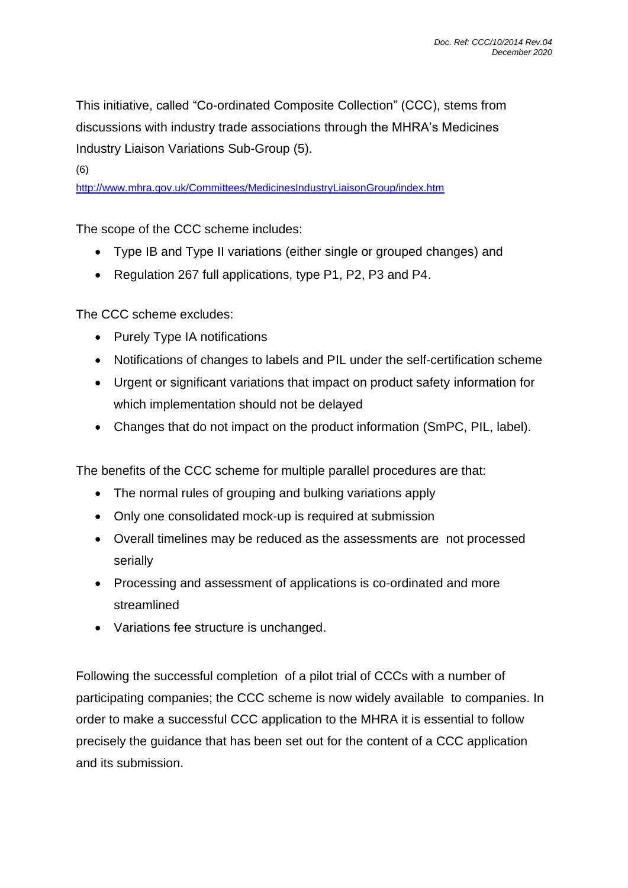This initiative, called "Co-ordinated Composite Collection" (CCC), stems from discussions with industry trade associations through the MHRA's Medicines Industry Liaison Variations Sub-Group (5).

(6)

<http://www.mhra.gov.uk/Committees/MedicinesIndustryLiaisonGroup/index.htm>

The scope of the CCC scheme includes:

- Type IB and Type II variations (either single or grouped changes) and
- Regulation 267 full applications, type P1, P2, P3 and P4.

The CCC scheme excludes:

- Purely Type IA notifications
- Notifications of changes to labels and PIL under the self-certification scheme
- Urgent or significant variations that impact on product safety information for which implementation should not be delayed
- Changes that do not impact on the product information (SmPC, PIL, label).

The benefits of the CCC scheme for multiple parallel procedures are that:

- The normal rules of grouping and bulking variations apply
- Only one consolidated mock-up is required at submission
- Overall timelines may be reduced as the assessments are not processed serially
- Processing and assessment of applications is co-ordinated and more streamlined
- Variations fee structure is unchanged.

Following the successful completion of a pilot trial of CCCs with a number of participating companies; the CCC scheme is now widely available to companies. In order to make a successful CCC application to the MHRA it is essential to follow precisely the guidance that has been set out for the content of a CCC application and its submission.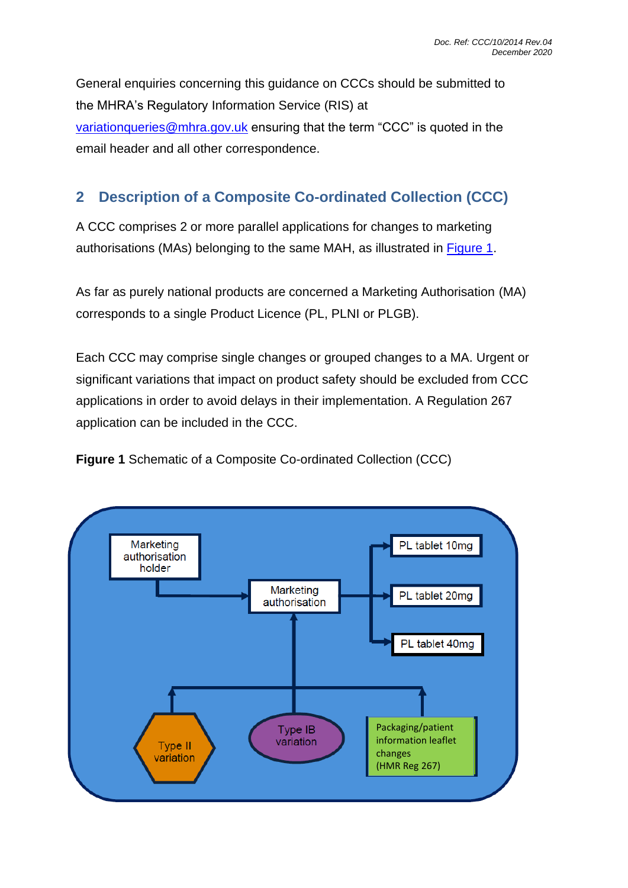General enquiries concerning this guidance on CCCs should be submitted to the MHRA's Regulatory Information Service (RIS) at [variationqueries@mhra.gov.uk](mailto:variationqueries@mhra.gov.uk) ensuring that the term "CCC" is quoted in the email header and all other correspondence.

# <span id="page-4-0"></span>**2 Description of a Composite Co-ordinated Collection (CCC)**

A CCC comprises 2 or more parallel applications for changes to marketing authorisations (MAs) belonging to the same MAH, as illustrated in [Figure 1.](#page-4-1)

As far as purely national products are concerned a Marketing Authorisation (MA) corresponds to a single Product Licence (PL, PLNI or PLGB).

Each CCC may comprise single changes or grouped changes to a MA. Urgent or significant variations that impact on product safety should be excluded from CCC applications in order to avoid delays in their implementation. A Regulation 267 application can be included in the CCC.

<span id="page-4-1"></span>**Figure 1** Schematic of a Composite Co-ordinated Collection (CCC)

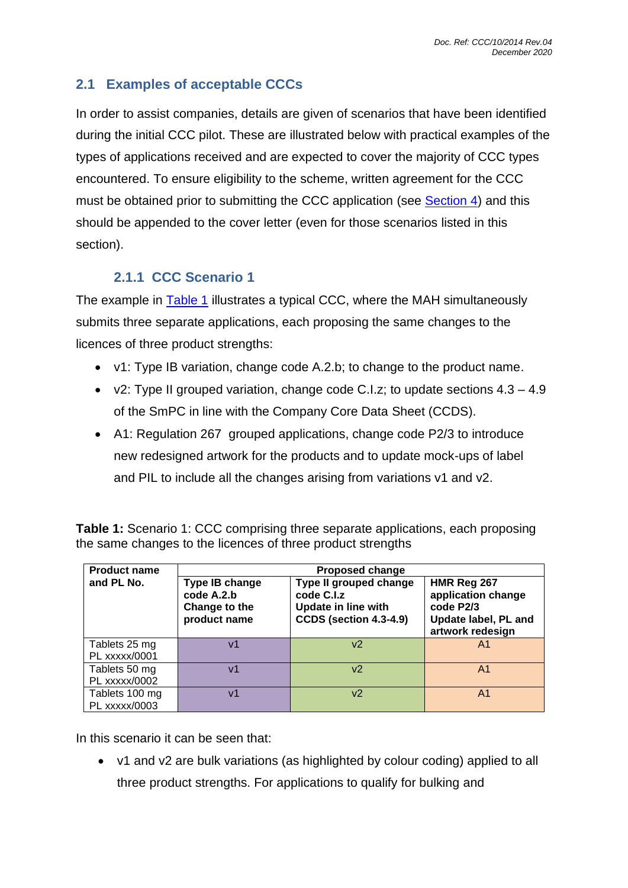## <span id="page-5-0"></span>**2.1 Examples of acceptable CCCs**

In order to assist companies, details are given of scenarios that have been identified during the initial CCC pilot. These are illustrated below with practical examples of the types of applications received and are expected to cover the majority of CCC types encountered. To ensure eligibility to the scheme, written agreement for the CCC must be obtained prior to submitting the CCC application (see [Section 4\)](#page-13-0) and this should be appended to the cover letter (even for those scenarios listed in this section).

## **2.1.1 CCC Scenario 1**

<span id="page-5-1"></span>The example in [Table 1](#page-5-2) illustrates a typical CCC, where the MAH simultaneously submits three separate applications, each proposing the same changes to the licences of three product strengths:

- v1: Type IB variation, change code A.2.b; to change to the product name.
- $v2$ : Type II grouped variation, change code C.I.z; to update sections  $4.3 4.9$ of the SmPC in line with the Company Core Data Sheet (CCDS).
- A1: Regulation 267 grouped applications, change code P2/3 to introduce new redesigned artwork for the products and to update mock-ups of label and PIL to include all the changes arising from variations v1 and v2.

| <b>Product name</b>  | <b>Proposed change</b>                                        |                                                                                              |                                                                                            |  |  |
|----------------------|---------------------------------------------------------------|----------------------------------------------------------------------------------------------|--------------------------------------------------------------------------------------------|--|--|
| and PL No.           | Type IB change<br>code A.2.b<br>Change to the<br>product name | Type II grouped change<br>code C.I.z<br><b>Update in line with</b><br>CCDS (section 4.3-4.9) | HMR Reg 267<br>application change<br>code P2/3<br>Update label, PL and<br>artwork redesign |  |  |
| Tablets 25 mg        | v1                                                            | V <sub>2</sub>                                                                               | A <sub>1</sub>                                                                             |  |  |
| PL xxxxx/0001        |                                                               |                                                                                              |                                                                                            |  |  |
| Tablets 50 mg        | v1                                                            | v2                                                                                           | A1                                                                                         |  |  |
| <b>PL xxxxx/0002</b> |                                                               |                                                                                              |                                                                                            |  |  |
| Tablets 100 mg       | v1                                                            | v2                                                                                           | A1                                                                                         |  |  |
| PL xxxxx/0003        |                                                               |                                                                                              |                                                                                            |  |  |

<span id="page-5-2"></span>**Table 1:** Scenario 1: CCC comprising three separate applications, each proposing the same changes to the licences of three product strengths

In this scenario it can be seen that:

• v1 and v2 are bulk variations (as highlighted by colour coding) applied to all three product strengths. For applications to qualify for bulking and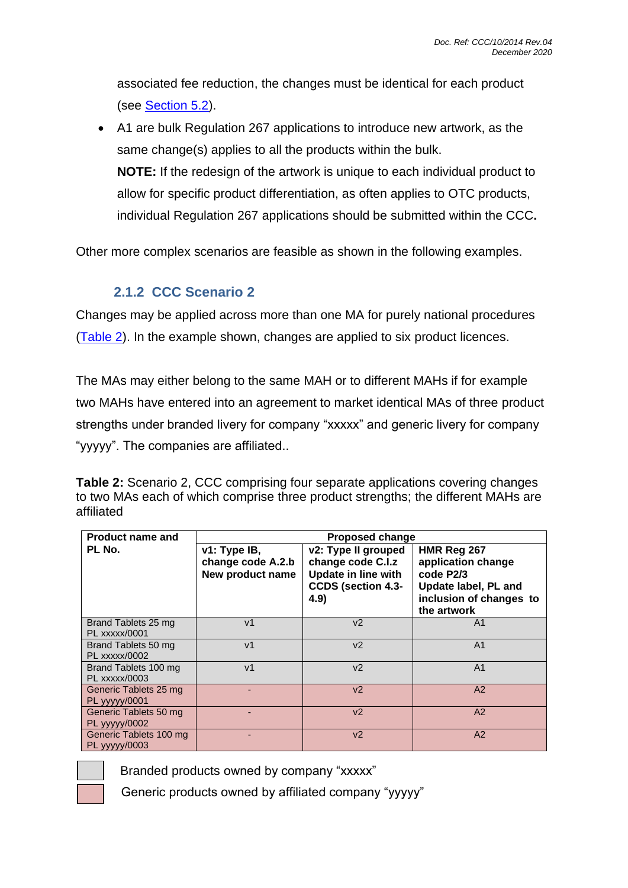associated fee reduction, the changes must be identical for each product (see **Section 5.2**).

• A1 are bulk Regulation 267 applications to introduce new artwork, as the same change(s) applies to all the products within the bulk. **NOTE:** If the redesign of the artwork is unique to each individual product to allow for specific product differentiation, as often applies to OTC products, individual Regulation 267 applications should be submitted within the CCC**.**

<span id="page-6-0"></span>Other more complex scenarios are feasible as shown in the following examples.

## **2.1.2 CCC Scenario 2**

Changes may be applied across more than one MA for purely national procedures [\(Table 2\)](#page-6-1). In the example shown, changes are applied to six product licences.

The MAs may either belong to the same MAH or to different MAHs if for example two MAHs have entered into an agreement to market identical MAs of three product strengths under branded livery for company "xxxxx" and generic livery for company "yyyyy". The companies are affiliated..

<span id="page-6-1"></span>**Table 2:** Scenario 2, CCC comprising four separate applications covering changes to two MAs each of which comprise three product strengths; the different MAHs are affiliated

| <b>Product name and</b>                        | <b>Proposed change</b>                                |                                                                                                             |                                                                                                                  |  |  |
|------------------------------------------------|-------------------------------------------------------|-------------------------------------------------------------------------------------------------------------|------------------------------------------------------------------------------------------------------------------|--|--|
| PL No.                                         | v1: Type IB,<br>change code A.2.b<br>New product name | v2: Type II grouped<br>change code C.I.z<br><b>Update in line with</b><br><b>CCDS (section 4.3-</b><br>4.9) | HMR Reg 267<br>application change<br>code P2/3<br>Update label, PL and<br>inclusion of changes to<br>the artwork |  |  |
| Brand Tablets 25 mg<br>PL xxxxx/0001           | V <sub>1</sub>                                        | v <sub>2</sub>                                                                                              | A <sub>1</sub>                                                                                                   |  |  |
| Brand Tablets 50 mg<br>PL xxxxx/0002           | V <sub>1</sub>                                        | v <sub>2</sub>                                                                                              | A <sub>1</sub>                                                                                                   |  |  |
| Brand Tablets 100 mg<br>PL xxxxx/0003          | V <sub>1</sub>                                        | v <sub>2</sub>                                                                                              | A <sub>1</sub>                                                                                                   |  |  |
| Generic Tablets 25 mg<br><b>PL vvvvv/0001</b>  |                                                       | v <sub>2</sub>                                                                                              | A2                                                                                                               |  |  |
| Generic Tablets 50 mg<br>PL yyyyy/0002         |                                                       | v <sub>2</sub>                                                                                              | A <sup>2</sup>                                                                                                   |  |  |
| Generic Tablets 100 mg<br><b>PL</b> yyyyy/0003 |                                                       | v <sub>2</sub>                                                                                              | A2                                                                                                               |  |  |



Branded products owned by company "xxxxx"

Generic products owned by affiliated company "yyyyy"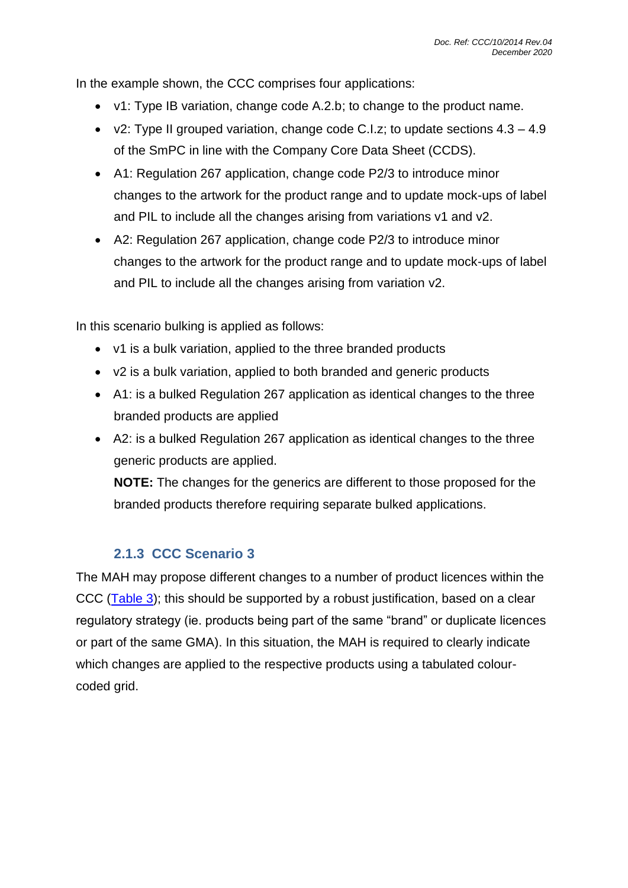In the example shown, the CCC comprises four applications:

- v1: Type IB variation, change code A.2.b; to change to the product name.
- $v2$ : Type II grouped variation, change code C.I.z; to update sections  $4.3 4.9$ of the SmPC in line with the Company Core Data Sheet (CCDS).
- A1: Regulation 267 application, change code P2/3 to introduce minor changes to the artwork for the product range and to update mock-ups of label and PIL to include all the changes arising from variations v1 and v2.
- A2: Regulation 267 application, change code P2/3 to introduce minor changes to the artwork for the product range and to update mock-ups of label and PIL to include all the changes arising from variation v2.

In this scenario bulking is applied as follows:

- v1 is a bulk variation, applied to the three branded products
- v2 is a bulk variation, applied to both branded and generic products
- A1: is a bulked Regulation 267 application as identical changes to the three branded products are applied
- A2: is a bulked Regulation 267 application as identical changes to the three generic products are applied.

**NOTE:** The changes for the generics are different to those proposed for the branded products therefore requiring separate bulked applications.

### **2.1.3 CCC Scenario 3**

<span id="page-7-0"></span>The MAH may propose different changes to a number of product licences within the CCC [\(Table 3\)](#page-8-0); this should be supported by a robust justification, based on a clear regulatory strategy (ie. products being part of the same "brand" or duplicate licences or part of the same GMA). In this situation, the MAH is required to clearly indicate which changes are applied to the respective products using a tabulated colourcoded grid.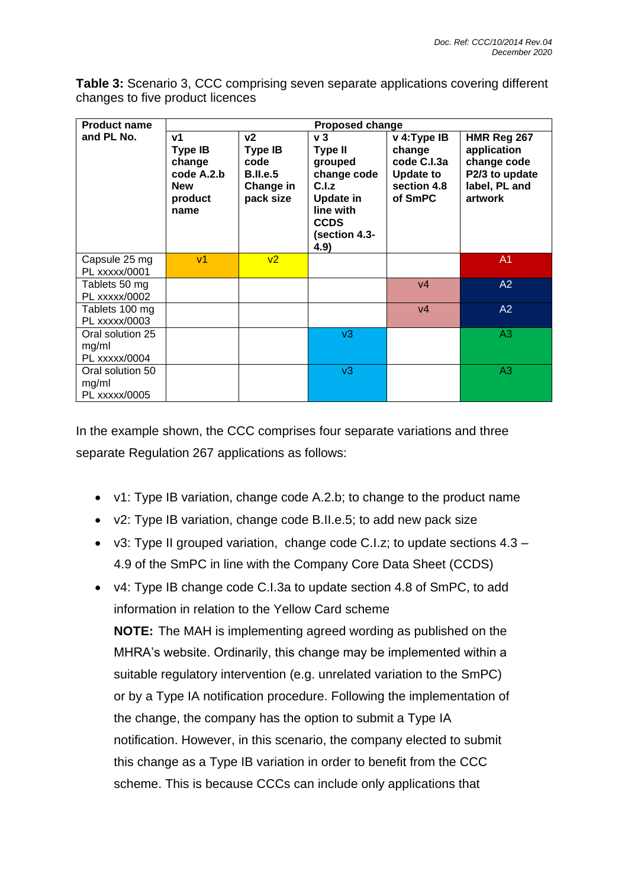<span id="page-8-0"></span>**Table 3:** Scenario 3, CCC comprising seven separate applications covering different changes to five product licences

| <b>Product name</b>                        | <b>Proposed change</b>                                                  |                                                                     |                                                                                                                                   |                                                                     |                                                                          |  |
|--------------------------------------------|-------------------------------------------------------------------------|---------------------------------------------------------------------|-----------------------------------------------------------------------------------------------------------------------------------|---------------------------------------------------------------------|--------------------------------------------------------------------------|--|
| and PL No.                                 | v1                                                                      | v2                                                                  | v <sub>3</sub>                                                                                                                    | v 4: Type IB                                                        | HMR Reg 267                                                              |  |
|                                            | <b>Type IB</b><br>change<br>code A.2.b<br><b>New</b><br>product<br>name | <b>Type IB</b><br>code<br><b>B.II.e.5</b><br>Change in<br>pack size | <b>Type II</b><br>grouped<br>change code<br>C.I.Z<br><b>Update in</b><br>line with<br><b>CCDS</b><br><b>(section 4.3-</b><br>4.9) | change<br>code C.I.3a<br><b>Update to</b><br>section 4.8<br>of SmPC | application<br>change code<br>P2/3 to update<br>label, PL and<br>artwork |  |
| Capsule 25 mg<br>PL xxxxx/0001             | V <sub>1</sub>                                                          | V <sub>2</sub>                                                      |                                                                                                                                   |                                                                     | A <sub>1</sub>                                                           |  |
| Tablets 50 mg<br>PL xxxxx/0002             |                                                                         |                                                                     |                                                                                                                                   | V <sub>4</sub>                                                      | A2                                                                       |  |
| Tablets 100 mg<br><b>PL xxxxx/0003</b>     |                                                                         |                                                                     |                                                                                                                                   | V <sub>4</sub>                                                      | A2                                                                       |  |
| Oral solution 25<br>mg/ml<br>PL xxxxx/0004 |                                                                         |                                                                     | v3                                                                                                                                |                                                                     | A <sub>3</sub>                                                           |  |
| Oral solution 50<br>mg/ml<br>PL xxxxx/0005 |                                                                         |                                                                     | v3                                                                                                                                |                                                                     | A <sub>3</sub>                                                           |  |

In the example shown, the CCC comprises four separate variations and three separate Regulation 267 applications as follows:

- v1: Type IB variation, change code A.2.b; to change to the product name
- v2: Type IB variation, change code B.II.e.5; to add new pack size
- v3: Type II grouped variation, change code C.I.z; to update sections 4.3 4.9 of the SmPC in line with the Company Core Data Sheet (CCDS)
- v4: Type IB change code C.I.3a to update section 4.8 of SmPC, to add information in relation to the Yellow Card scheme **NOTE:** The MAH is implementing agreed wording as published on the MHRA's website. Ordinarily, this change may be implemented within a suitable regulatory intervention (e.g. unrelated variation to the SmPC) or by a Type IA notification procedure. Following the implementation of the change, the company has the option to submit a Type IA notification. However, in this scenario, the company elected to submit this change as a Type IB variation in order to benefit from the CCC scheme. This is because CCCs can include only applications that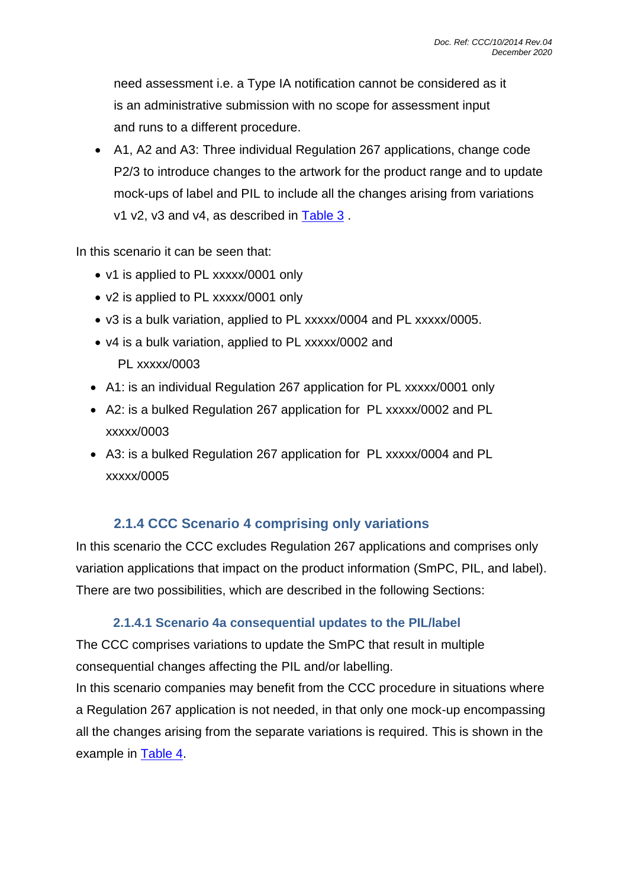need assessment i.e. a Type IA notification cannot be considered as it is an administrative submission with no scope for assessment input and runs to a different procedure.

• A1, A2 and A3: Three individual Regulation 267 applications, change code P2/3 to introduce changes to the artwork for the product range and to update mock-ups of label and PIL to include all the changes arising from variations v1 v2, v3 and v4, as described in [Table 3](#page-8-0) .

In this scenario it can be seen that:

- v1 is applied to PL xxxxx/0001 only
- v2 is applied to PL xxxxx/0001 only
- v3 is a bulk variation, applied to PL xxxxx/0004 and PL xxxxx/0005.
- v4 is a bulk variation, applied to PL xxxxx/0002 and PL xxxxx/0003
- A1: is an individual Regulation 267 application for PL xxxxx/0001 only
- A2: is a bulked Regulation 267 application for PL xxxxx/0002 and PL xxxxx/0003
- A3: is a bulked Regulation 267 application for PL xxxxx/0004 and PL xxxxx/0005

### **2.1.4 CCC Scenario 4 comprising only variations**

<span id="page-9-0"></span>In this scenario the CCC excludes Regulation 267 applications and comprises only variation applications that impact on the product information (SmPC, PIL, and label). There are two possibilities, which are described in the following Sections:

### **2.1.4.1 Scenario 4a consequential updates to the PIL/label**

<span id="page-9-1"></span>The CCC comprises variations to update the SmPC that result in multiple consequential changes affecting the PIL and/or labelling.

In this scenario companies may benefit from the CCC procedure in situations where a Regulation 267 application is not needed, in that only one mock-up encompassing all the changes arising from the separate variations is required. This is shown in the example in [Table 4.](#page-10-0)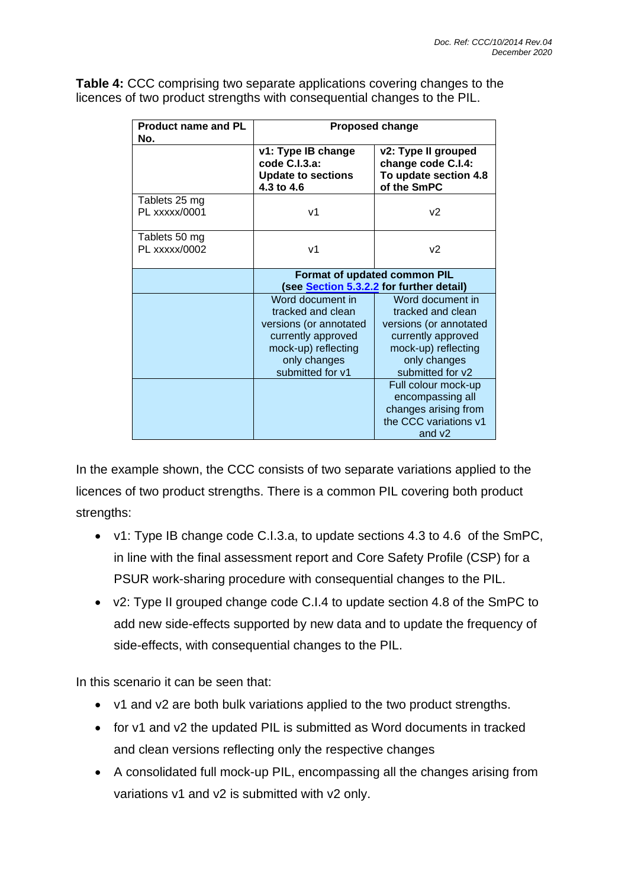| <b>Product name and PL</b><br>No. | <b>Proposed change</b>                                                                                                                           |                                                                                                                                                  |  |
|-----------------------------------|--------------------------------------------------------------------------------------------------------------------------------------------------|--------------------------------------------------------------------------------------------------------------------------------------------------|--|
|                                   | v1: Type IB change<br>code C.I.3.a:<br><b>Update to sections</b><br>4.3 to 4.6                                                                   | v2: Type II grouped<br>change code C.I.4:<br>To update section 4.8<br>of the SmPC                                                                |  |
| Tablets 25 mg<br>PL xxxxx/0001    | V <sub>1</sub>                                                                                                                                   | v <sub>2</sub>                                                                                                                                   |  |
| Tablets 50 mg<br>PL xxxxx/0002    | V <sub>1</sub>                                                                                                                                   | v2                                                                                                                                               |  |
|                                   | Format of updated common PIL<br>(see Section 5.3.2.2 for further detail)                                                                         |                                                                                                                                                  |  |
|                                   | Word document in<br>tracked and clean<br>versions (or annotated<br>currently approved<br>mock-up) reflecting<br>only changes<br>submitted for v1 | Word document in<br>tracked and clean<br>versions (or annotated<br>currently approved<br>mock-up) reflecting<br>only changes<br>submitted for v2 |  |
|                                   |                                                                                                                                                  | Full colour mock-up<br>encompassing all<br>changes arising from<br>the CCC variations v1<br>and $v2$                                             |  |

<span id="page-10-0"></span>**Table 4:** CCC comprising two separate applications covering changes to the licences of two product strengths with consequential changes to the PIL.

In the example shown, the CCC consists of two separate variations applied to the licences of two product strengths. There is a common PIL covering both product strengths:

- v1: Type IB change code C.I.3.a, to update sections 4.3 to 4.6 of the SmPC, in line with the final assessment report and Core Safety Profile (CSP) for a PSUR work-sharing procedure with consequential changes to the PIL.
- v2: Type II grouped change code C.I.4 to update section 4.8 of the SmPC to add new side-effects supported by new data and to update the frequency of side-effects, with consequential changes to the PIL.

In this scenario it can be seen that:

- v1 and v2 are both bulk variations applied to the two product strengths.
- for v1 and v2 the updated PIL is submitted as Word documents in tracked and clean versions reflecting only the respective changes
- A consolidated full mock-up PIL, encompassing all the changes arising from variations v1 and v2 is submitted with v2 only.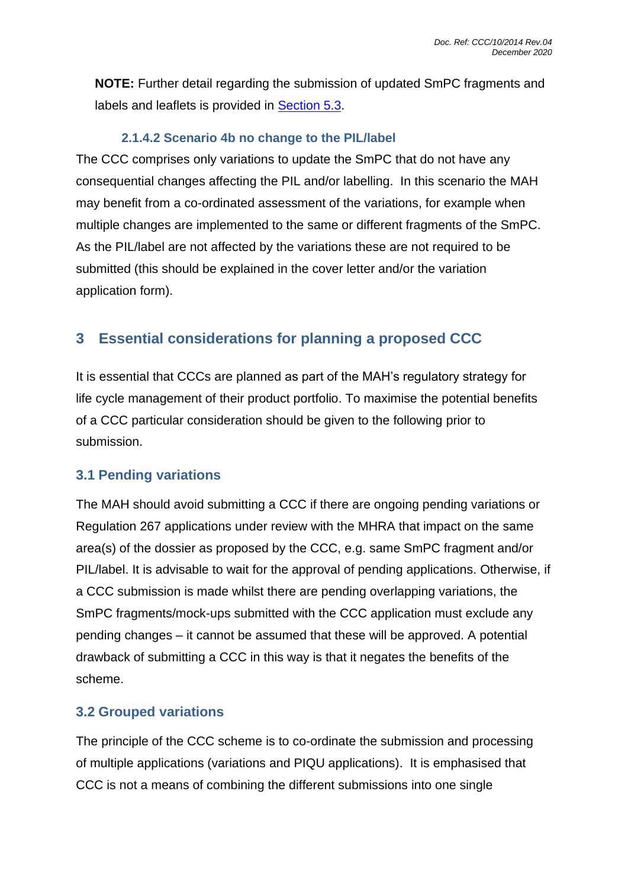**NOTE:** Further detail regarding the submission of updated SmPC fragments and labels and leaflets is provided in [Section 5.3.](#page-17-1)

### **2.1.4.2 Scenario 4b no change to the PIL/label**

The CCC comprises only variations to update the SmPC that do not have any consequential changes affecting the PIL and/or labelling. In this scenario the MAH may benefit from a co-ordinated assessment of the variations, for example when multiple changes are implemented to the same or different fragments of the SmPC. As the PIL/label are not affected by the variations these are not required to be submitted (this should be explained in the cover letter and/or the variation application form).

# <span id="page-11-0"></span>**3 Essential considerations for planning a proposed CCC**

It is essential that CCCs are planned as part of the MAH's regulatory strategy for life cycle management of their product portfolio. To maximise the potential benefits of a CCC particular consideration should be given to the following prior to submission.

## <span id="page-11-1"></span>**3.1 Pending variations**

The MAH should avoid submitting a CCC if there are ongoing pending variations or Regulation 267 applications under review with the MHRA that impact on the same area(s) of the dossier as proposed by the CCC, e.g. same SmPC fragment and/or PIL/label. It is advisable to wait for the approval of pending applications. Otherwise, if a CCC submission is made whilst there are pending overlapping variations, the SmPC fragments/mock-ups submitted with the CCC application must exclude any pending changes – it cannot be assumed that these will be approved. A potential drawback of submitting a CCC in this way is that it negates the benefits of the scheme.

## <span id="page-11-2"></span>**3.2 Grouped variations**

The principle of the CCC scheme is to co-ordinate the submission and processing of multiple applications (variations and PIQU applications). It is emphasised that CCC is not a means of combining the different submissions into one single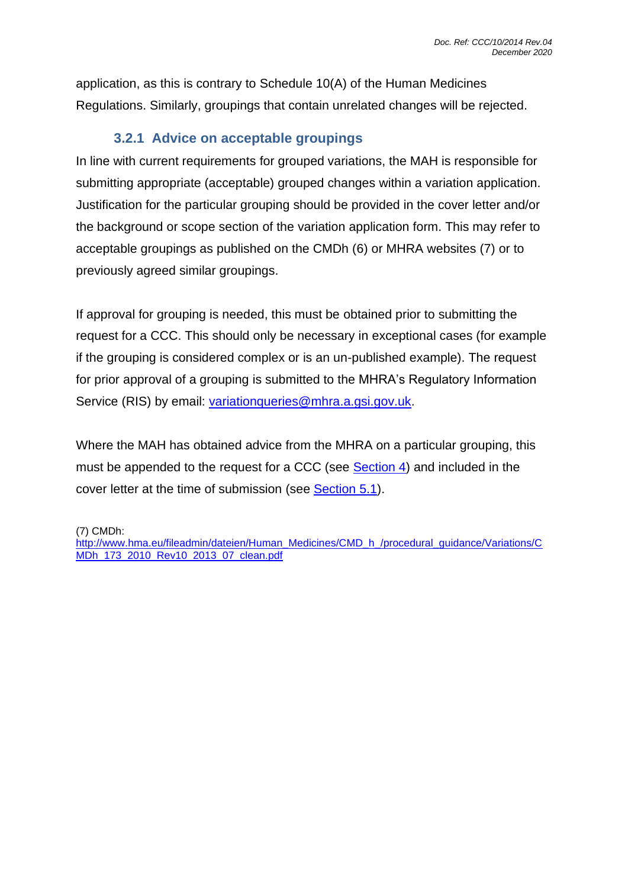application, as this is contrary to Schedule 10(A) of the Human Medicines Regulations. Similarly, groupings that contain unrelated changes will be rejected.

# **3.2.1 Advice on acceptable groupings**

<span id="page-12-0"></span>In line with current requirements for grouped variations, the MAH is responsible for submitting appropriate (acceptable) grouped changes within a variation application. Justification for the particular grouping should be provided in the cover letter and/or the background or scope section of the variation application form. This may refer to acceptable groupings as published on the CMDh (6) or MHRA websites (7) or to previously agreed similar groupings.

If approval for grouping is needed, this must be obtained prior to submitting the request for a CCC. This should only be necessary in exceptional cases (for example if the grouping is considered complex or is an un-published example). The request for prior approval of a grouping is submitted to the MHRA's Regulatory Information Service (RIS) by email: [variationqueries@mhra.a.gsi.gov.uk.](mailto:variationqueries@mhra.gov.uk)

Where the MAH has obtained advice from the MHRA on a particular grouping, this must be appended to the request for a CCC (see [Section 4\)](#page-13-0) and included in the cover letter at the time of submission (see **Section 5.1**).

(7) CMDh:

[http://www.hma.eu/fileadmin/dateien/Human\\_Medicines/CMD\\_h\\_/procedural\\_guidance/Variations/C](http://www.hma.eu/fileadmin/dateien/Human_Medicines/CMD_h_/procedural_guidance/Variations/CMDh_173_2010_Rev10_2013_07_clean.pdf) MDh 173 2010 Rev10 2013 07 clean.pdf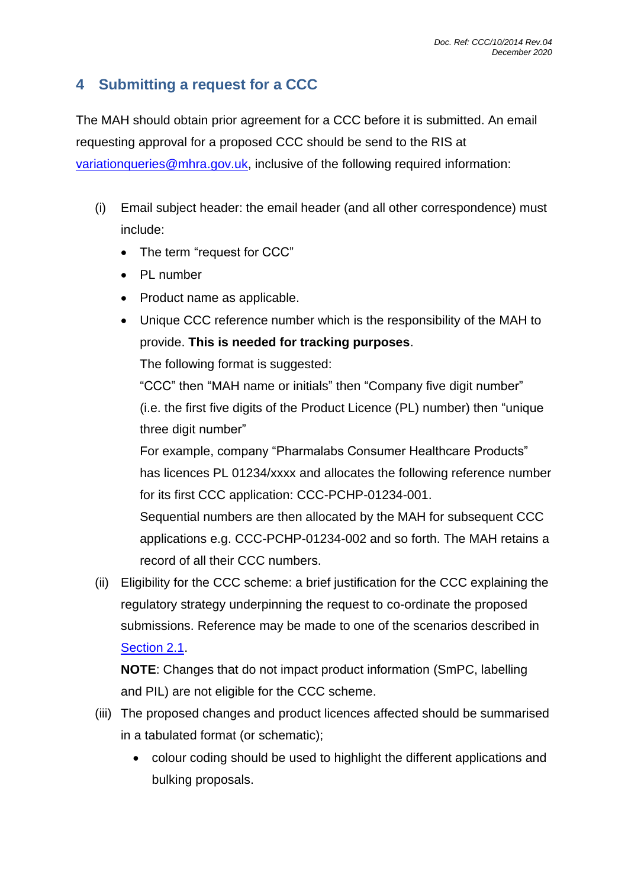# <span id="page-13-0"></span>**4 Submitting a request for a CCC**

The MAH should obtain prior agreement for a CCC before it is submitted. An email requesting approval for a proposed CCC should be send to the RIS at [variationqueries@mhra.gov.uk,](mailto:variationqueries@mhragov.uk) inclusive of the following required information:

- (i) Email subject header: the email header (and all other correspondence) must include:
	- The term "request for CCC"
	- PL number
	- Product name as applicable.
	- Unique CCC reference number which is the responsibility of the MAH to provide. **This is needed for tracking purposes**.

The following format is suggested:

"CCC" then "MAH name or initials" then "Company five digit number" (i.e. the first five digits of the Product Licence (PL) number) then "unique three digit number"

For example, company "Pharmalabs Consumer Healthcare Products" has licences PL 01234/xxxx and allocates the following reference number for its first CCC application: CCC-PCHP-01234-001.

Sequential numbers are then allocated by the MAH for subsequent CCC applications e.g. CCC-PCHP-01234-002 and so forth. The MAH retains a record of all their CCC numbers.

(ii) Eligibility for the CCC scheme: a brief justification for the CCC explaining the regulatory strategy underpinning the request to co-ordinate the proposed submissions. Reference may be made to one of the scenarios described in [Section 2.1.](#page-5-0)

**NOTE**: Changes that do not impact product information (SmPC, labelling and PIL) are not eligible for the CCC scheme.

- (iii) The proposed changes and product licences affected should be summarised in a tabulated format (or schematic);
	- colour coding should be used to highlight the different applications and bulking proposals.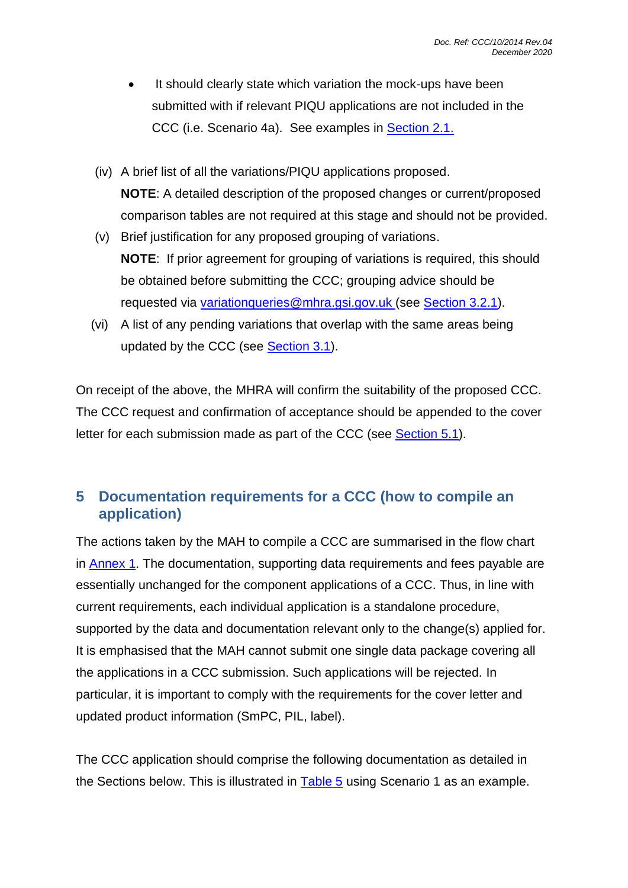- It should clearly state which variation the mock-ups have been submitted with if relevant PIQU applications are not included in the CCC (i.e. Scenario 4a). See examples in [Section](#page-5-0) 2.1.
- (iv) A brief list of all the variations/PIQU applications proposed. **NOTE**: A detailed description of the proposed changes or current/proposed comparison tables are not required at this stage and should not be provided.
- (v) Brief justification for any proposed grouping of variations. **NOTE**: If prior agreement for grouping of variations is required, this should be obtained before submitting the CCC; grouping advice should be requested via [variationqueries@mhra.gsi.gov.uk](mailto:variationqueries@mhra.gov.uk) (see [Section 3.2.1\)](#page-12-0).
- (vi) A list of any pending variations that overlap with the same areas being updated by the CCC (see **Section 3.1)**.

On receipt of the above, the MHRA will confirm the suitability of the proposed CCC. The CCC request and confirmation of acceptance should be appended to the cover letter for each submission made as part of the CCC (see [Section 5.1\)](#page-16-1).

# <span id="page-14-0"></span>**5 Documentation requirements for a CCC (how to compile an application)**

The actions taken by the MAH to compile a CCC are summarised in the flow chart in [Annex 1.](#page-28-0) The documentation, supporting data requirements and fees payable are essentially unchanged for the component applications of a CCC. Thus, in line with current requirements, each individual application is a standalone procedure, supported by the data and documentation relevant only to the change(s) applied for. It is emphasised that the MAH cannot submit one single data package covering all the applications in a CCC submission. Such applications will be rejected. In particular, it is important to comply with the requirements for the cover letter and updated product information (SmPC, PIL, label).

The CCC application should comprise the following documentation as detailed in the Sections below. This is illustrated in [Table 5](#page-15-0) using Scenario 1 as an example.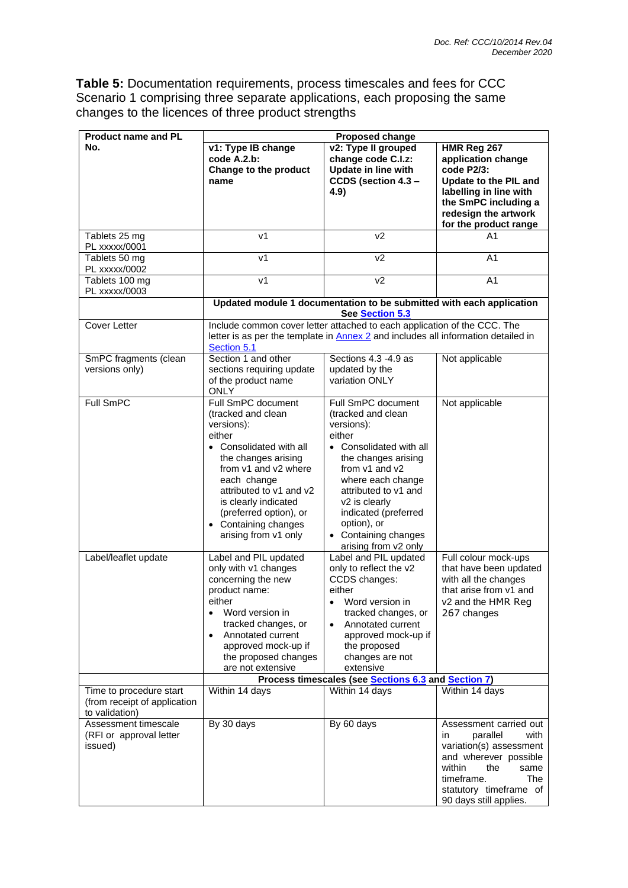<span id="page-15-0"></span>**Table 5:** Documentation requirements, process timescales and fees for CCC Scenario 1 comprising three separate applications, each proposing the same changes to the licences of three product strengths

| <b>Product name and PL</b>                                                | Proposed change                                                                                                                                                                                                                                                                        |                                                                                                                                                                                                                                                                                                                 |                                                                                                                                                                                                        |  |
|---------------------------------------------------------------------------|----------------------------------------------------------------------------------------------------------------------------------------------------------------------------------------------------------------------------------------------------------------------------------------|-----------------------------------------------------------------------------------------------------------------------------------------------------------------------------------------------------------------------------------------------------------------------------------------------------------------|--------------------------------------------------------------------------------------------------------------------------------------------------------------------------------------------------------|--|
| No.                                                                       | v1: Type IB change<br>code A.2.b:<br>Change to the product<br>name                                                                                                                                                                                                                     | v2: Type II grouped<br>change code C.I.z:<br><b>Update in line with</b><br>CCDS (section 4.3 -<br>4.9)                                                                                                                                                                                                          | HMR Reg 267<br>application change<br>code P2/3:<br>Update to the PIL and<br>labelling in line with<br>the SmPC including a<br>redesign the artwork<br>for the product range                            |  |
| Tablets 25 mg<br>PL xxxxx/0001                                            | v1                                                                                                                                                                                                                                                                                     | v <sub>2</sub>                                                                                                                                                                                                                                                                                                  | A <sub>1</sub>                                                                                                                                                                                         |  |
| Tablets 50 mg<br>PL xxxxx/0002                                            | V <sub>1</sub>                                                                                                                                                                                                                                                                         | v <sub>2</sub>                                                                                                                                                                                                                                                                                                  | A <sub>1</sub>                                                                                                                                                                                         |  |
| Tablets 100 mg<br>PL xxxxx/0003                                           | v1                                                                                                                                                                                                                                                                                     | v <sub>2</sub>                                                                                                                                                                                                                                                                                                  | A <sub>1</sub>                                                                                                                                                                                         |  |
|                                                                           |                                                                                                                                                                                                                                                                                        | Updated module 1 documentation to be submitted with each application<br>See Section 5.3                                                                                                                                                                                                                         |                                                                                                                                                                                                        |  |
| <b>Cover Letter</b>                                                       | Include common cover letter attached to each application of the CCC. The<br>letter is as per the template in <b>Annex 2</b> and includes all information detailed in<br>Section 5.1                                                                                                    |                                                                                                                                                                                                                                                                                                                 |                                                                                                                                                                                                        |  |
| SmPC fragments (clean<br>versions only)                                   | Section 1 and other<br>sections requiring update<br>of the product name<br><b>ONLY</b>                                                                                                                                                                                                 | Sections 4.3 -4.9 as<br>updated by the<br>variation ONLY                                                                                                                                                                                                                                                        | Not applicable                                                                                                                                                                                         |  |
| Full SmPC                                                                 | Full SmPC document<br>(tracked and clean<br>versions):<br>either<br>• Consolidated with all<br>the changes arising<br>from v1 and v2 where<br>each change<br>attributed to v1 and v2<br>is clearly indicated<br>(preferred option), or<br>• Containing changes<br>arising from v1 only | Full SmPC document<br>(tracked and clean<br>versions):<br>either<br>• Consolidated with all<br>the changes arising<br>from v1 and v2<br>where each change<br>attributed to v1 and<br>v2 is clearly<br>indicated (preferred<br>option), or<br>• Containing changes<br>arising from v2 only                       | Not applicable                                                                                                                                                                                         |  |
| Label/leaflet update                                                      | Label and PIL updated<br>only with v1 changes<br>concerning the new<br>product name:<br>either<br>Word version in<br>tracked changes, or<br>Annotated current<br>$\bullet$<br>approved mock-up if<br>the proposed changes<br>are not extensive                                         | Label and PIL updated<br>only to reflect the v2<br>CCDS changes:<br>either<br>Word version in<br>$\bullet$<br>tracked changes, or<br>Annotated current<br>$\bullet$<br>approved mock-up if<br>the proposed<br>changes are not<br>extensive<br>Process timescales (see <b>Sections 6.3</b> and <b>Section 7)</b> | Full colour mock-ups<br>that have been updated<br>with all the changes<br>that arise from v1 and<br>v2 and the HMR Reg<br>267 changes                                                                  |  |
|                                                                           | Within 14 days                                                                                                                                                                                                                                                                         | Within 14 days                                                                                                                                                                                                                                                                                                  | Within 14 days                                                                                                                                                                                         |  |
| Time to procedure start<br>(from receipt of application<br>to validation) |                                                                                                                                                                                                                                                                                        |                                                                                                                                                                                                                                                                                                                 |                                                                                                                                                                                                        |  |
| Assessment timescale<br>(RFI or approval letter<br>issued)                | By 30 days                                                                                                                                                                                                                                                                             | By 60 days                                                                                                                                                                                                                                                                                                      | Assessment carried out<br>parallel<br>with<br>in<br>variation(s) assessment<br>and wherever possible<br>within<br>the<br>same<br>timeframe.<br>The<br>statutory timeframe of<br>90 days still applies. |  |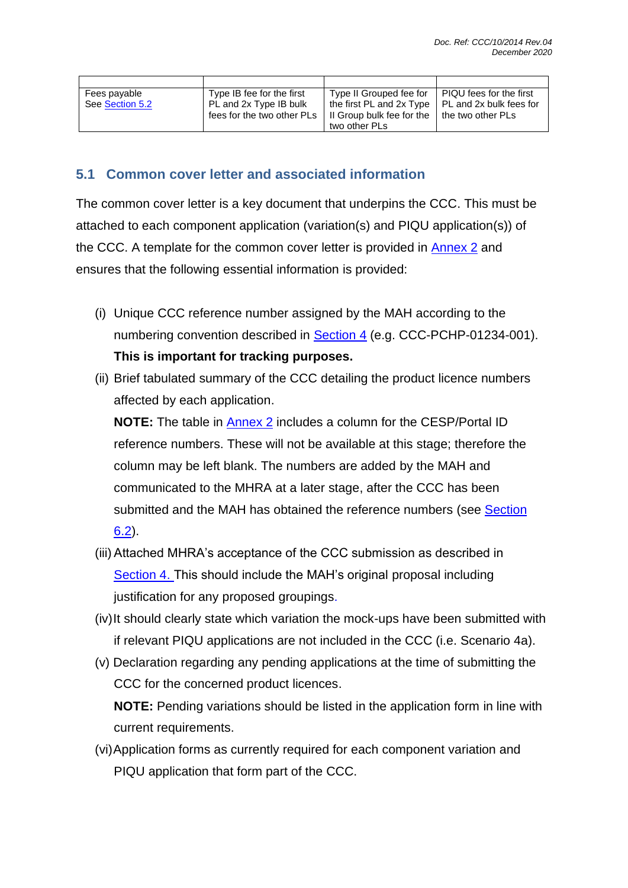| Fees payable    | Type IB fee for the first                                                                    | Type II Grouped fee for                                          | PIQU fees for the first |
|-----------------|----------------------------------------------------------------------------------------------|------------------------------------------------------------------|-------------------------|
| See Section 5.2 | PL and 2x Type IB bulk                                                                       | the first PL and $2x$ Type $\parallel$ PL and $2x$ bulk fees for |                         |
|                 | fees for the two other $P\text{Ls}$   II Group bulk fee for the   the two other $P\text{Ls}$ |                                                                  |                         |
|                 |                                                                                              | two other PLs                                                    |                         |

### <span id="page-16-1"></span><span id="page-16-0"></span>**5.1 Common cover letter and associated information**

The common cover letter is a key document that underpins the CCC. This must be attached to each component application (variation(s) and PIQU application(s)) of the CCC. A template for the common cover letter is provided in [Annex 2](#page-29-0) and ensures that the following essential information is provided:

- (i) Unique CCC reference number assigned by the MAH according to the numbering convention described in [Section](#page-13-0) 4 (e.g. CCC-PCHP-01234-001). **This is important for tracking purposes.**
- (ii) Brief tabulated summary of the CCC detailing the product licence numbers affected by each application.

**NOTE:** The table in [Annex 2](#page-29-0) includes a column for the CESP/Portal ID reference numbers. These will not be available at this stage; therefore the column may be left blank. The numbers are added by the MAH and communicated to the MHRA at a later stage, after the CCC has been submitted and the MAH has obtained the reference numbers (see [Section](#page-23-0) [6.2\)](#page-23-0).

- (iii) Attached MHRA's acceptance of the CCC submission as described in [Section 4.](#page-13-0) This should include the MAH's original proposal including justification for any proposed groupings.
- (iv)It should clearly state which variation the mock-ups have been submitted with if relevant PIQU applications are not included in the CCC (i.e. Scenario 4a).
- (v) Declaration regarding any pending applications at the time of submitting the CCC for the concerned product licences. **NOTE:** Pending variations should be listed in the application form in line with current requirements.
- (vi)Application forms as currently required for each component variation and PIQU application that form part of the CCC.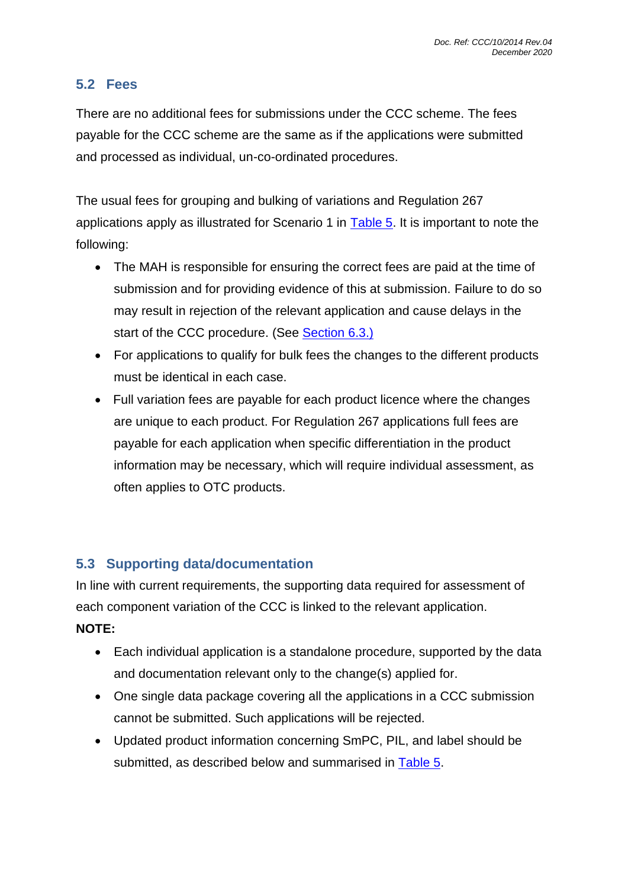## <span id="page-17-0"></span>**5.2 Fees**

There are no additional fees for submissions under the CCC scheme. The fees payable for the CCC scheme are the same as if the applications were submitted and processed as individual, un-co-ordinated procedures.

The usual fees for grouping and bulking of variations and Regulation 267 applications apply as illustrated for Scenario 1 in **Table 5**. It is important to note the following:

- The MAH is responsible for ensuring the correct fees are paid at the time of submission and for providing evidence of this at submission. Failure to do so may result in rejection of the relevant application and cause delays in the start of the CCC procedure. (See [Section 6.3.\)](#page-23-0)
- For applications to qualify for bulk fees the changes to the different products must be identical in each case.
- Full variation fees are payable for each product licence where the changes are unique to each product. For Regulation 267 applications full fees are payable for each application when specific differentiation in the product information may be necessary, which will require individual assessment, as often applies to OTC products.

# <span id="page-17-1"></span>**5.3 Supporting data/documentation**

In line with current requirements, the supporting data required for assessment of each component variation of the CCC is linked to the relevant application.

## **NOTE:**

- Each individual application is a standalone procedure, supported by the data and documentation relevant only to the change(s) applied for.
- One single data package covering all the applications in a CCC submission cannot be submitted. Such applications will be rejected.
- Updated product information concerning SmPC, PIL, and label should be submitted, as described below and summarised in [Table 5.](#page-15-0)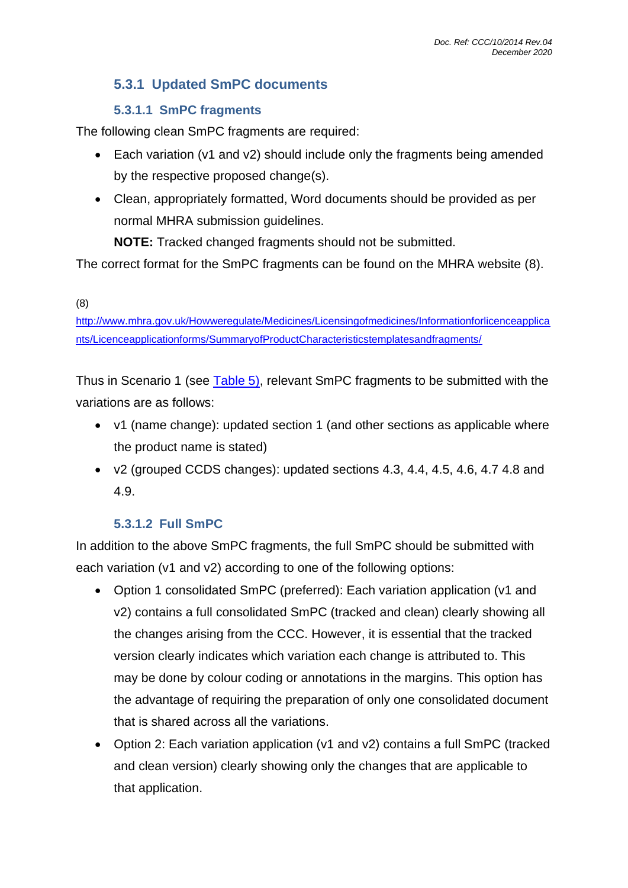## <span id="page-18-0"></span>**5.3.1 Updated SmPC documents**

### **5.3.1.1 SmPC fragments**

The following clean SmPC fragments are required:

- Each variation (v1 and v2) should include only the fragments being amended by the respective proposed change(s).
- Clean, appropriately formatted, Word documents should be provided as per normal MHRA submission guidelines.

**NOTE:** Tracked changed fragments should not be submitted.

The correct format for the SmPC fragments can be found on the MHRA website (8).

#### (8)

[http://www.mhra.gov.uk/Howweregulate/Medicines/Licensingofmedicines/Informationforlicenceapplica](http://www.mhra.gov.uk/Howweregulate/Medicines/Licensingofmedicines/Informationforlicenceapplicants/Licenceapplicationforms/SummaryofProductCharacteristicstemplatesandfragments/) [nts/Licenceapplicationforms/SummaryofProductCharacteristicstemplatesandfragments/](http://www.mhra.gov.uk/Howweregulate/Medicines/Licensingofmedicines/Informationforlicenceapplicants/Licenceapplicationforms/SummaryofProductCharacteristicstemplatesandfragments/)

Thus in Scenario 1 (see [Table 5\)](#page-15-0), relevant SmPC fragments to be submitted with the variations are as follows:

- v1 (name change): updated section 1 (and other sections as applicable where the product name is stated)
- v2 (grouped CCDS changes): updated sections 4.3, 4.4, 4.5, 4.6, 4.7 4.8 and 4.9.

### **5.3.1.2 Full SmPC**

In addition to the above SmPC fragments, the full SmPC should be submitted with each variation (v1 and v2) according to one of the following options:

- Option 1 consolidated SmPC (preferred): Each variation application (v1 and v2) contains a full consolidated SmPC (tracked and clean) clearly showing all the changes arising from the CCC. However, it is essential that the tracked version clearly indicates which variation each change is attributed to. This may be done by colour coding or annotations in the margins. This option has the advantage of requiring the preparation of only one consolidated document that is shared across all the variations.
- Option 2: Each variation application (v1 and v2) contains a full SmPC (tracked and clean version) clearly showing only the changes that are applicable to that application.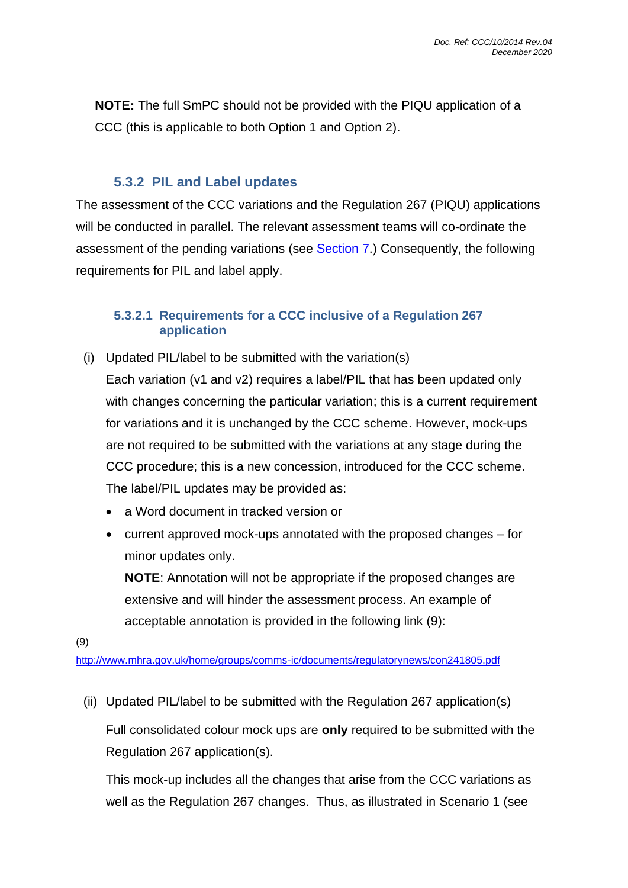**NOTE:** The full SmPC should not be provided with the PIQU application of a CCC (this is applicable to both Option 1 and Option 2).

### **5.3.2 PIL and Label updates**

<span id="page-19-0"></span>The assessment of the CCC variations and the Regulation 267 (PIQU) applications will be conducted in parallel. The relevant assessment teams will co-ordinate the assessment of the pending variations (see **Section 7.)** Consequently, the following requirements for PIL and label apply.

#### **5.3.2.1 Requirements for a CCC inclusive of a Regulation 267 application**

(i) Updated PIL/label to be submitted with the variation(s)

Each variation (v1 and v2) requires a label/PIL that has been updated only with changes concerning the particular variation; this is a current requirement for variations and it is unchanged by the CCC scheme. However, mock-ups are not required to be submitted with the variations at any stage during the CCC procedure; this is a new concession, introduced for the CCC scheme. The label/PIL updates may be provided as:

- a Word document in tracked version or
- current approved mock-ups annotated with the proposed changes for minor updates only.

**NOTE**: Annotation will not be appropriate if the proposed changes are extensive and will hinder the assessment process. An example of acceptable annotation is provided in the following link (9):

(9)

<http://www.mhra.gov.uk/home/groups/comms-ic/documents/regulatorynews/con241805.pdf>

(ii) Updated PIL/label to be submitted with the Regulation 267 application(s)

Full consolidated colour mock ups are **only** required to be submitted with the Regulation 267 application(s).

This mock-up includes all the changes that arise from the CCC variations as well as the Regulation 267 changes. Thus, as illustrated in Scenario 1 (see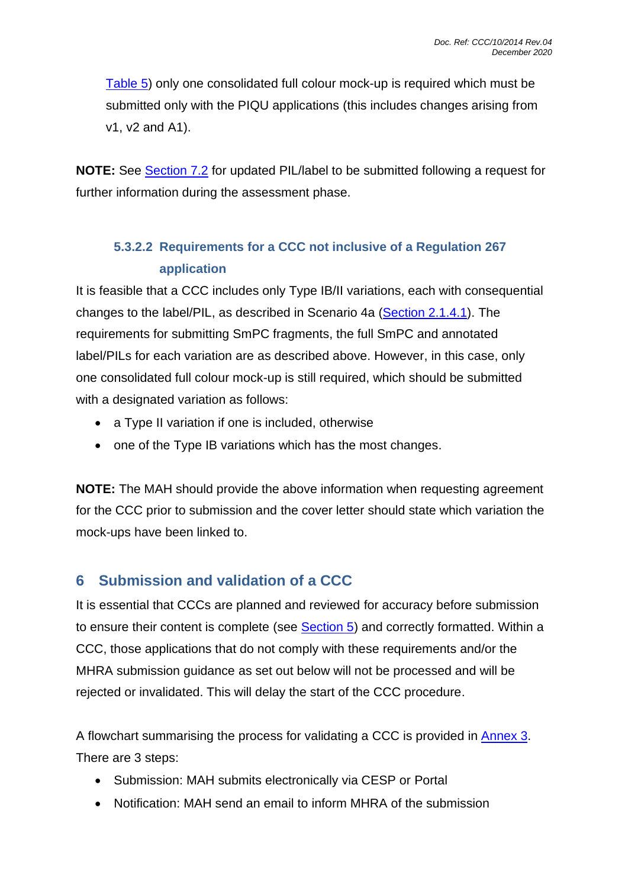[Table 5\)](#page-15-0) only one consolidated full colour mock-up is required which must be submitted only with the PIQU applications (this includes changes arising from v1, v2 and A1).

**NOTE:** See [Section 7.2](#page-25-1) for updated PIL/label to be submitted following a request for further information during the assessment phase.

# <span id="page-20-1"></span>**5.3.2.2 Requirements for a CCC not inclusive of a Regulation 267 application**

It is feasible that a CCC includes only Type IB/II variations, each with consequential changes to the label/PIL, as described in Scenario 4a [\(Section 2.1.4.1\)](#page-9-1). The requirements for submitting SmPC fragments, the full SmPC and annotated label/PILs for each variation are as described above. However, in this case, only one consolidated full colour mock-up is still required, which should be submitted with a designated variation as follows:

- a Type II variation if one is included, otherwise
- one of the Type IB variations which has the most changes.

**NOTE:** The MAH should provide the above information when requesting agreement for the CCC prior to submission and the cover letter should state which variation the mock-ups have been linked to.

# <span id="page-20-0"></span>**6 Submission and validation of a CCC**

It is essential that CCCs are planned and reviewed for accuracy before submission to ensure their content is complete (see **Section 5**) and correctly formatted. Within a CCC, those applications that do not comply with these requirements and/or the MHRA submission guidance as set out below will not be processed and will be rejected or invalidated. This will delay the start of the CCC procedure.

A flowchart summarising the process for validating a CCC is provided in [Annex 3.](#page-30-0) There are 3 steps:

- Submission: MAH submits electronically via CESP or Portal
- Notification: MAH send an email to inform MHRA of the submission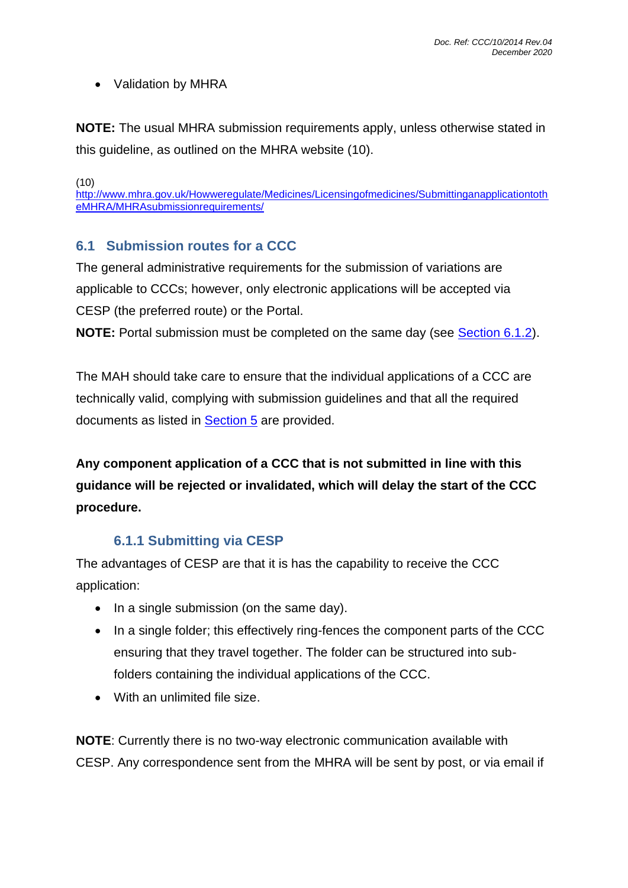• Validation by MHRA

**NOTE:** The usual MHRA submission requirements apply, unless otherwise stated in this guideline, as outlined on the MHRA website (10).

(10)

[http://www.mhra.gov.uk/Howweregulate/Medicines/Licensingofmedicines/Submittinganapplicationtoth](http://www.mhra.gov.uk/Howweregulate/Medicines/Licensingofmedicines/SubmittinganapplicationtotheMHRA/MHRAsubmissionrequirements/) [eMHRA/MHRAsubmissionrequirements/](http://www.mhra.gov.uk/Howweregulate/Medicines/Licensingofmedicines/SubmittinganapplicationtotheMHRA/MHRAsubmissionrequirements/)

## <span id="page-21-0"></span>**6.1 Submission routes for a CCC**

The general administrative requirements for the submission of variations are applicable to CCCs; however, only electronic applications will be accepted via CESP (the preferred route) or the Portal.

**NOTE:** Portal submission must be completed on the same day (see [Section 6.1.2\)](#page-22-0).

The MAH should take care to ensure that the individual applications of a CCC are technically valid, complying with submission guidelines and that all the required documents as listed in [Section 5](#page-14-0) are provided.

**Any component application of a CCC that is not submitted in line with this guidance will be rejected or invalidated, which will delay the start of the CCC procedure.**

## **6.1.1 Submitting via CESP**

<span id="page-21-1"></span>The advantages of CESP are that it is has the capability to receive the CCC application:

- In a single submission (on the same day).
- In a single folder; this effectively ring-fences the component parts of the CCC ensuring that they travel together. The folder can be structured into subfolders containing the individual applications of the CCC.
- With an unlimited file size.

**NOTE**: Currently there is no two-way electronic communication available with CESP. Any correspondence sent from the MHRA will be sent by post, or via email if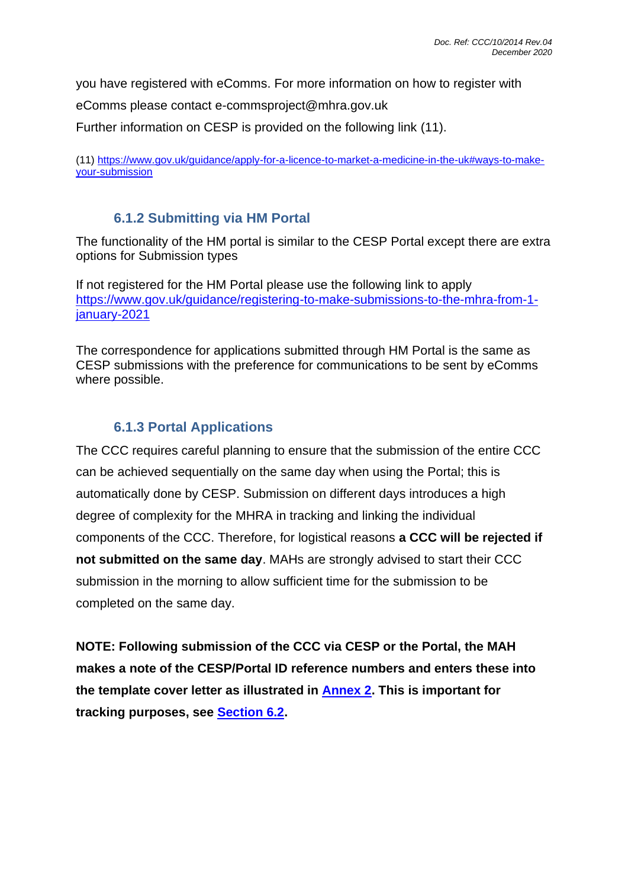you have registered with eComms. For more information on how to register with

eComms please contact e-commsproject@mhra.gov.uk

Further information on CESP is provided on the following link (11).

(11) [https://www.gov.uk/guidance/apply-for-a-licence-to-market-a-medicine-in-the-uk#ways-to-make](https://www.gov.uk/guidance/apply-for-a-licence-to-market-a-medicine-in-the-uk#ways-to-make-your-submission)[your-submission](https://www.gov.uk/guidance/apply-for-a-licence-to-market-a-medicine-in-the-uk#ways-to-make-your-submission)

### **6.1.2 Submitting via HM Portal**

<span id="page-22-0"></span>The functionality of the HM portal is similar to the CESP Portal except there are extra options for Submission types

If not registered for the HM Portal please use the following link to apply [https://www.gov.uk/guidance/registering-to-make-submissions-to-the-mhra-from-1](https://www.gov.uk/guidance/registering-to-make-submissions-to-the-mhra-from-1-january-2021) [january-2021](https://www.gov.uk/guidance/registering-to-make-submissions-to-the-mhra-from-1-january-2021)

The correspondence for applications submitted through HM Portal is the same as CESP submissions with the preference for communications to be sent by eComms where possible.

## **6.1.3 Portal Applications**

The CCC requires careful planning to ensure that the submission of the entire CCC can be achieved sequentially on the same day when using the Portal; this is automatically done by CESP. Submission on different days introduces a high degree of complexity for the MHRA in tracking and linking the individual components of the CCC. Therefore, for logistical reasons **a CCC will be rejected if not submitted on the same day**. MAHs are strongly advised to start their CCC submission in the morning to allow sufficient time for the submission to be completed on the same day.

**NOTE: Following submission of the CCC via CESP or the Portal, the MAH makes a note of the CESP/Portal ID reference numbers and enters these into the template cover letter as illustrated in [Annex 2.](#page-29-0) This is important for tracking purposes, see [Section 6.2.](#page-23-0)**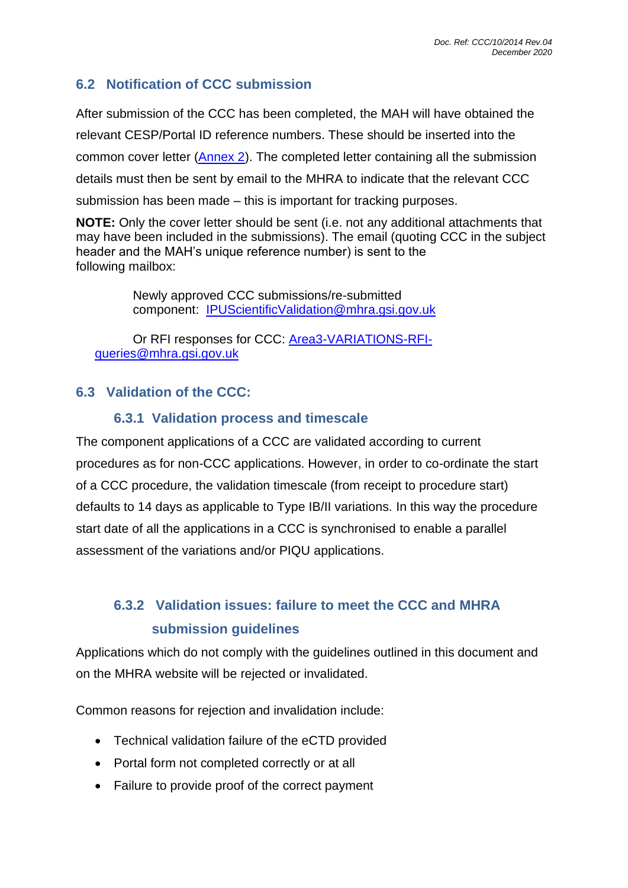## **6.2 Notification of CCC submission**

After submission of the CCC has been completed, the MAH will have obtained the relevant CESP/Portal ID reference numbers. These should be inserted into the common cover letter [\(Annex 2\)](#page-29-0). The completed letter containing all the submission details must then be sent by email to the MHRA to indicate that the relevant CCC submission has been made – this is important for tracking purposes.

**NOTE:** Only the cover letter should be sent (i.e. not any additional attachments that may have been included in the submissions). The email (quoting CCC in the subject header and the MAH's unique reference number) is sent to the following mailbox:

> Newly approved CCC submissions/re-submitted component: [IPUScientificValidation@mhra.gsi.gov.uk](mailto:IPUScientificValidation@mhra.gsi.gov.uk)

Or RFI responses for CCC: [Area3-VARIATIONS-RFI](mailto:Area3-VARIATIONS-RFI-queries@mhra.gov.uk)[queries@mhra.gsi.gov.uk](mailto:Area3-VARIATIONS-RFI-queries@mhra.gov.uk)

## <span id="page-23-1"></span><span id="page-23-0"></span>**6.3 Validation of the CCC:**

### **6.3.1 Validation process and timescale**

The component applications of a CCC are validated according to current procedures as for non-CCC applications. However, in order to co-ordinate the start of a CCC procedure, the validation timescale (from receipt to procedure start) defaults to 14 days as applicable to Type IB/II variations. In this way the procedure start date of all the applications in a CCC is synchronised to enable a parallel assessment of the variations and/or PIQU applications.

# <span id="page-23-2"></span>**6.3.2 Validation issues: failure to meet the CCC and MHRA submission guidelines**

Applications which do not comply with the guidelines outlined in this document and on the MHRA website will be rejected or invalidated.

Common reasons for rejection and invalidation include:

- Technical validation failure of the eCTD provided
- Portal form not completed correctly or at all
- Failure to provide proof of the correct payment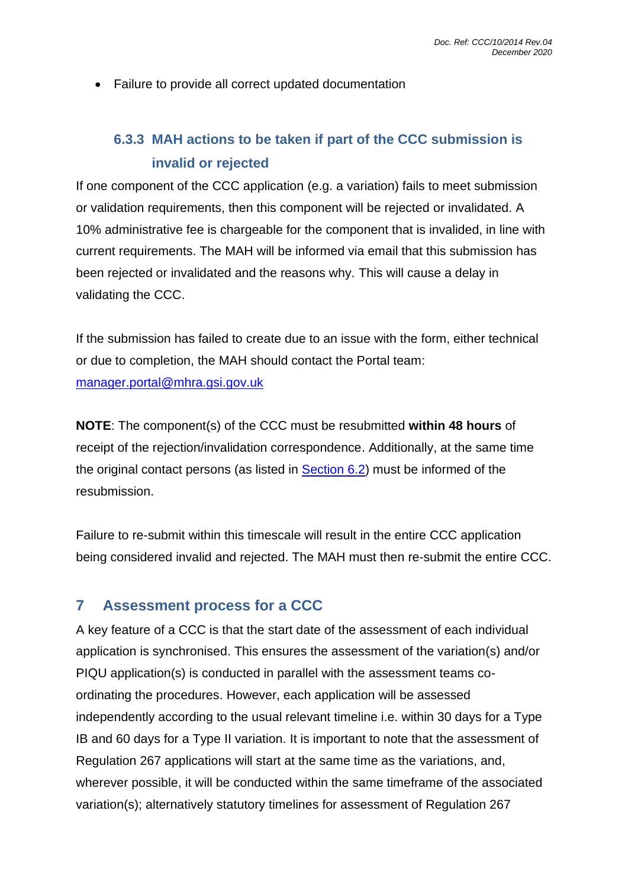• Failure to provide all correct updated documentation

# <span id="page-24-0"></span>**6.3.3 MAH actions to be taken if part of the CCC submission is invalid or rejected**

If one component of the CCC application (e.g. a variation) fails to meet submission or validation requirements, then this component will be rejected or invalidated. A 10% administrative fee is chargeable for the component that is invalided, in line with current requirements. The MAH will be informed via email that this submission has been rejected or invalidated and the reasons why. This will cause a delay in validating the CCC.

If the submission has failed to create due to an issue with the form, either technical or due to completion, the MAH should contact the Portal team: [manager.portal@mhra.gsi.gov.uk](mailto:manager.portal@mhra.gov.uk)

**NOTE**: The component(s) of the CCC must be resubmitted **within 48 hours** of receipt of the rejection/invalidation correspondence. Additionally, at the same time the original contact persons (as listed in [Section 6.2\)](#page-23-0) must be informed of the resubmission.

Failure to re-submit within this timescale will result in the entire CCC application being considered invalid and rejected. The MAH must then re-submit the entire CCC.

## <span id="page-24-2"></span><span id="page-24-1"></span>**7 Assessment process for a CCC**

A key feature of a CCC is that the start date of the assessment of each individual application is synchronised. This ensures the assessment of the variation(s) and/or PIQU application(s) is conducted in parallel with the assessment teams coordinating the procedures. However, each application will be assessed independently according to the usual relevant timeline i.e. within 30 days for a Type IB and 60 days for a Type II variation. It is important to note that the assessment of Regulation 267 applications will start at the same time as the variations, and, wherever possible, it will be conducted within the same timeframe of the associated variation(s); alternatively statutory timelines for assessment of Regulation 267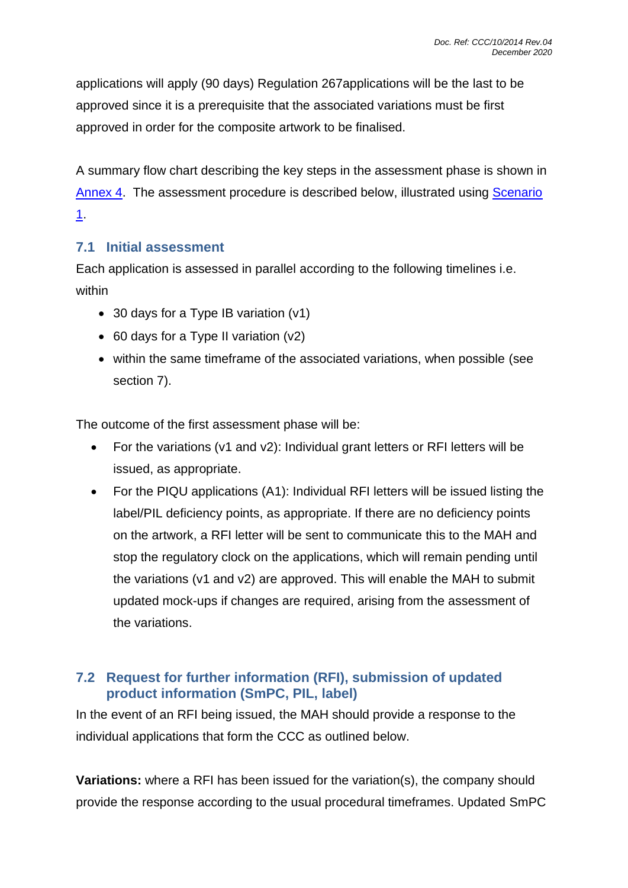applications will apply (90 days) Regulation 267applications will be the last to be approved since it is a prerequisite that the associated variations must be first approved in order for the composite artwork to be finalised.

A summary flow chart describing the key steps in the assessment phase is shown in [Annex 4.](#page-31-0) The assessment procedure is described below, illustrated using [Scenario](#page-5-1)  [1.](#page-5-1)

## <span id="page-25-0"></span>**7.1 Initial assessment**

Each application is assessed in parallel according to the following timelines i.e. within

- 30 days for a Type IB variation (v1)
- 60 days for a Type II variation (v2)
- within the same timeframe of the associated variations, when possible (see section 7).

The outcome of the first assessment phase will be:

- For the variations (v1 and v2): Individual grant letters or RFI letters will be issued, as appropriate.
- For the PIQU applications (A1): Individual RFI letters will be issued listing the label/PIL deficiency points, as appropriate. If there are no deficiency points on the artwork, a RFI letter will be sent to communicate this to the MAH and stop the regulatory clock on the applications, which will remain pending until the variations (v1 and v2) are approved. This will enable the MAH to submit updated mock-ups if changes are required, arising from the assessment of the variations.

## <span id="page-25-1"></span>**7.2 Request for further information (RFI), submission of updated product information (SmPC, PIL, label)**

In the event of an RFI being issued, the MAH should provide a response to the individual applications that form the CCC as outlined below.

**Variations:** where a RFI has been issued for the variation(s), the company should provide the response according to the usual procedural timeframes. Updated SmPC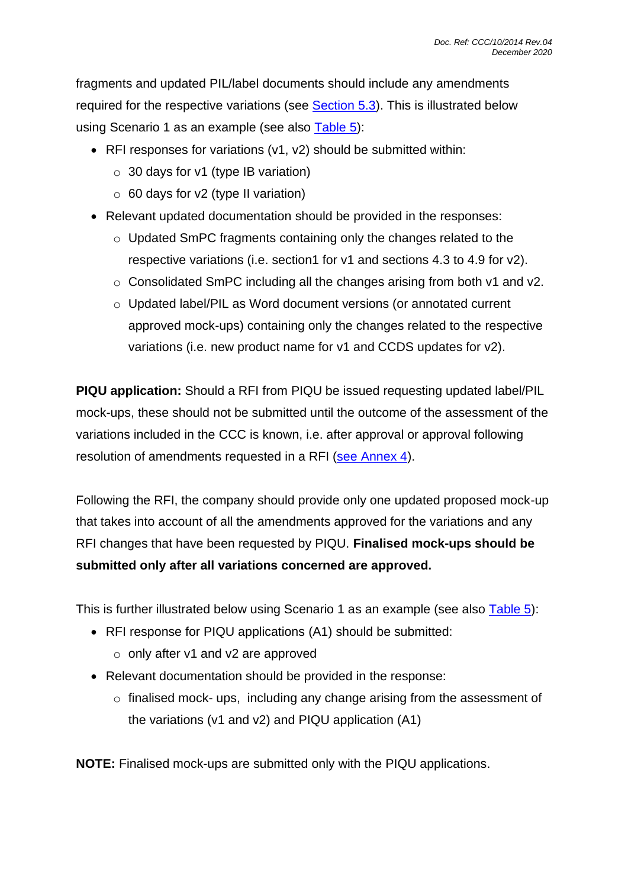fragments and updated PIL/label documents should include any amendments required for the respective variations (see [Section 5.3\)](#page-17-1). This is illustrated below using Scenario 1 as an example (see also [Table 5\)](#page-15-0):

- RFI responses for variations (v1, v2) should be submitted within:
	- $\circ$  30 days for v1 (type IB variation)
	- $\circ$  60 days for v2 (type II variation)
- Relevant updated documentation should be provided in the responses:
	- o Updated SmPC fragments containing only the changes related to the respective variations (i.e. section1 for v1 and sections 4.3 to 4.9 for v2).
	- o Consolidated SmPC including all the changes arising from both v1 and v2.
	- o Updated label/PIL as Word document versions (or annotated current approved mock-ups) containing only the changes related to the respective variations (i.e. new product name for v1 and CCDS updates for v2).

**PIQU application:** Should a RFI from PIQU be issued requesting updated label/PIL mock-ups, these should not be submitted until the outcome of the assessment of the variations included in the CCC is known, i.e. after approval or approval following resolution of amendments requested in a RFI [\(see Annex 4\)](#page-31-0).

Following the RFI, the company should provide only one updated proposed mock-up that takes into account of all the amendments approved for the variations and any RFI changes that have been requested by PIQU. **Finalised mock-ups should be submitted only after all variations concerned are approved.**

This is further illustrated below using Scenario 1 as an example (see also [Table 5\)](#page-15-0):

- RFI response for PIQU applications (A1) should be submitted:
	- o only after v1 and v2 are approved
- Relevant documentation should be provided in the response:
	- o finalised mock- ups, including any change arising from the assessment of the variations (v1 and v2) and PIQU application (A1)

**NOTE:** Finalised mock-ups are submitted only with the PIQU applications.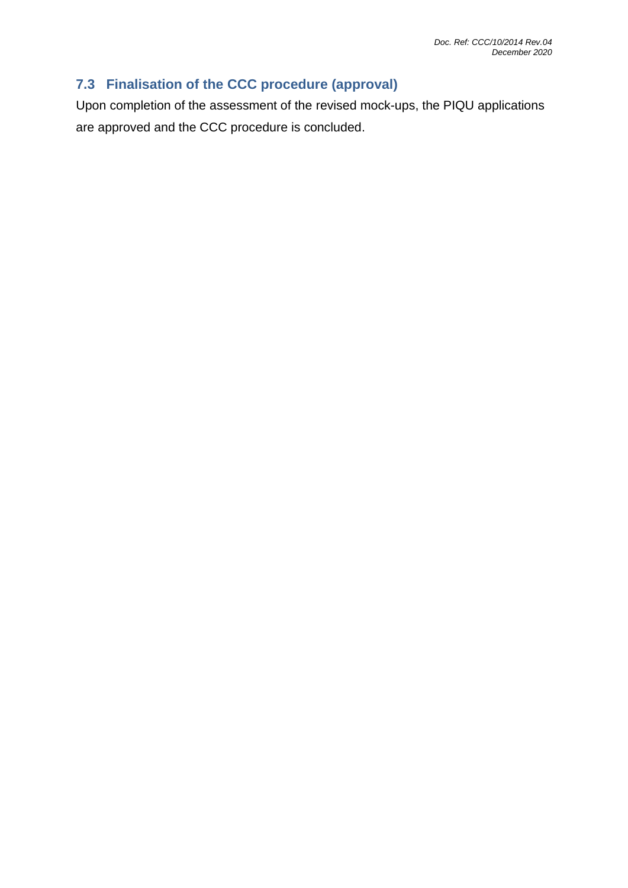# <span id="page-27-0"></span>**7.3 Finalisation of the CCC procedure (approval)**

Upon completion of the assessment of the revised mock-ups, the PIQU applications are approved and the CCC procedure is concluded.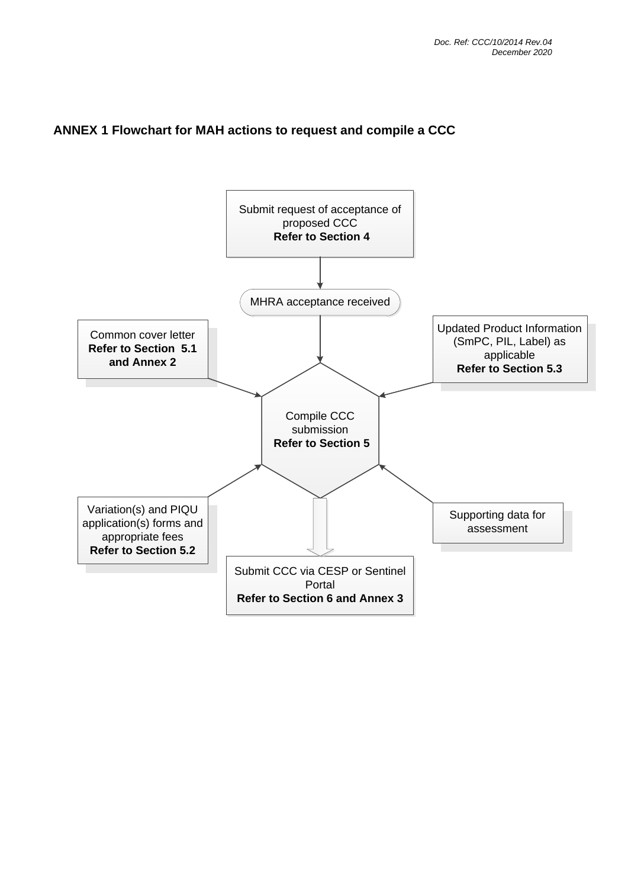<span id="page-28-0"></span>

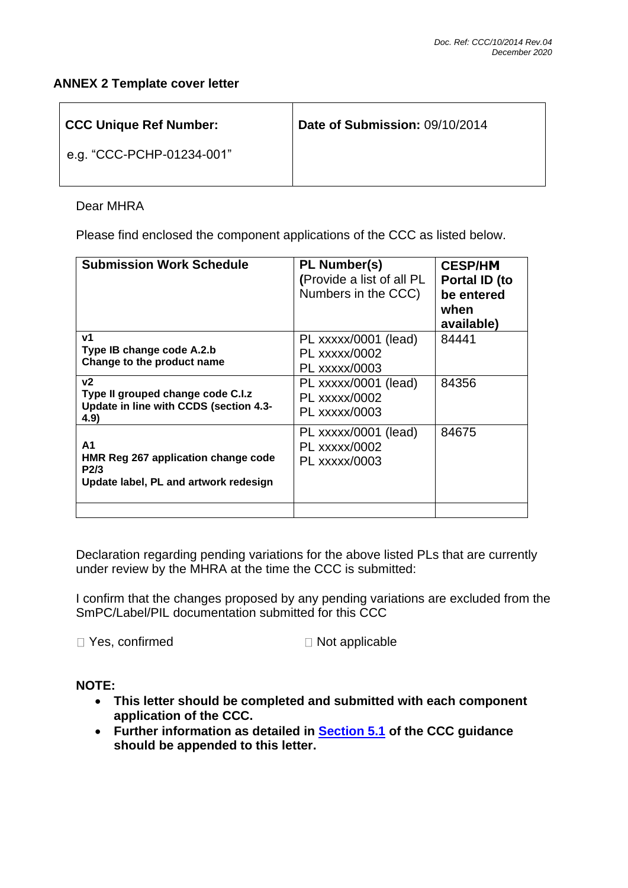#### <span id="page-29-0"></span>**ANNEX 2 Template cover letter**

| <b>CCC Unique Ref Number:</b> | Date of Submission: 09/10/2014 |
|-------------------------------|--------------------------------|
| e.g. "CCC-PCHP-01234-001"     |                                |

#### Dear MHRA

Please find enclosed the component applications of the CCC as listed below.

| <b>Submission Work Schedule</b>                                                                        | PL Number(s)<br>(Provide a list of all PL<br>Numbers in the CCC) | <b>CESP/HM</b><br>Portal ID (to<br>be entered<br>when<br>available) |
|--------------------------------------------------------------------------------------------------------|------------------------------------------------------------------|---------------------------------------------------------------------|
| ۷1<br>Type IB change code A.2.b<br>Change to the product name                                          | PL xxxxx/0001 (lead)<br>PL xxxxx/0002<br>PL xxxxx/0003           | 84441                                                               |
| v2<br>Type II grouped change code C.I.z<br>Update in line with CCDS (section 4.3-<br>4.9)              | PL xxxxx/0001 (lead)<br>PL xxxxx/0002<br><b>PL xxxxx/0003</b>    | 84356                                                               |
| A1<br>HMR Reg 267 application change code<br>P <sub>2/3</sub><br>Update label, PL and artwork redesign | PL xxxxx/0001 (lead)<br>PL xxxxx/0002<br>PL xxxxx/0003           | 84675                                                               |
|                                                                                                        |                                                                  |                                                                     |

Declaration regarding pending variations for the above listed PLs that are currently under review by the MHRA at the time the CCC is submitted:

I confirm that the changes proposed by any pending variations are excluded from the SmPC/Label/PIL documentation submitted for this CCC

 $\Box$  Yes, confirmed  $\Box$  Not applicable

#### **NOTE:**

- **This letter should be completed and submitted with each component application of the CCC.**
- **Further information as detailed in [Section 5.1](#page-16-1) of the CCC guidance should be appended to this letter.**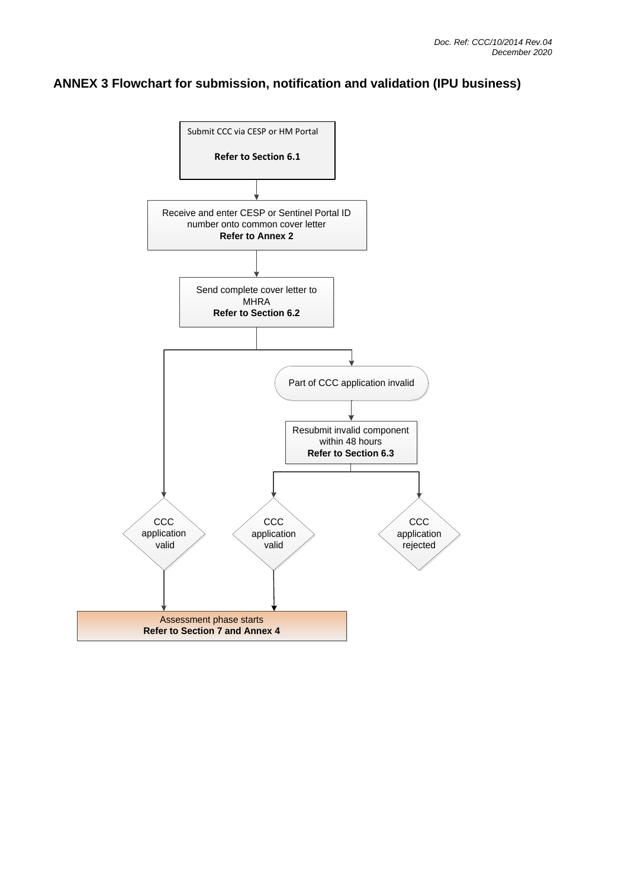#### <span id="page-30-0"></span>**ANNEX 3 Flowchart for submission, notification and validation (IPU business)**